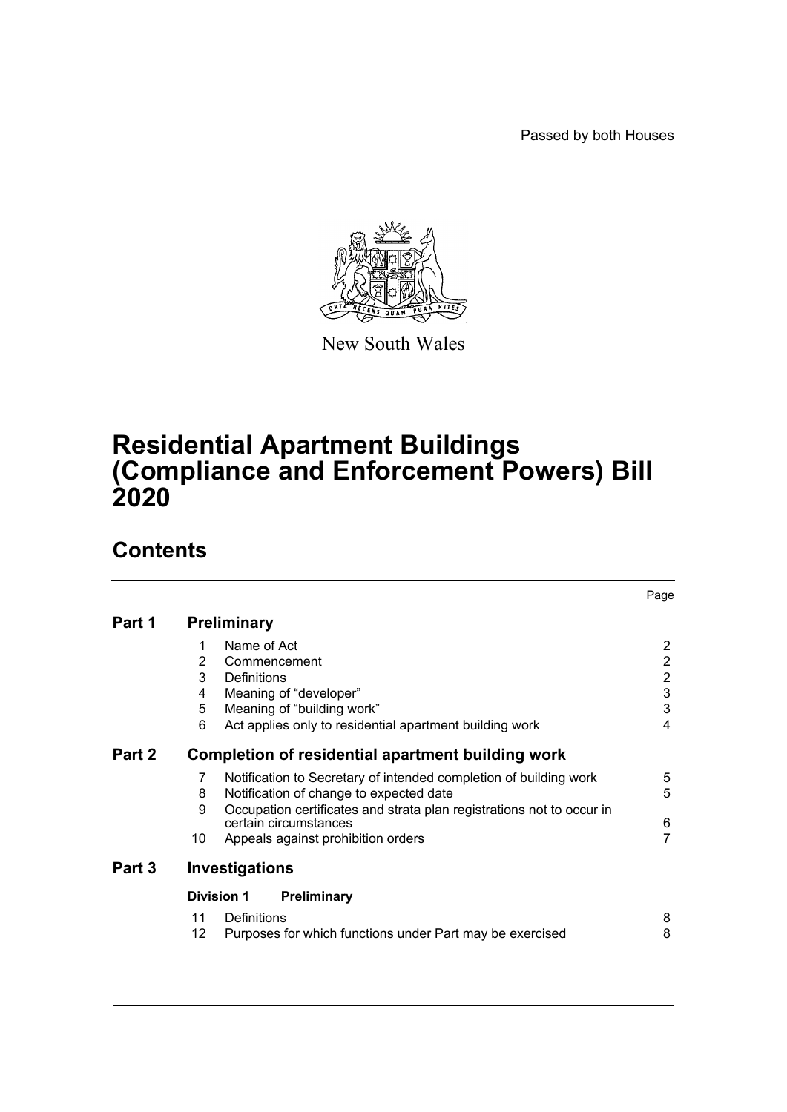Passed by both Houses



New South Wales

# **Residential Apartment Buildings (Compliance and Enforcement Powers) Bill 2020**

# **Contents**

|        |                                                   |                                                                                                | Page                    |  |  |  |  |
|--------|---------------------------------------------------|------------------------------------------------------------------------------------------------|-------------------------|--|--|--|--|
| Part 1 | <b>Preliminary</b>                                |                                                                                                |                         |  |  |  |  |
|        |                                                   | Name of Act                                                                                    | 2                       |  |  |  |  |
|        | 2                                                 | Commencement                                                                                   | $\overline{2}$          |  |  |  |  |
|        | 3                                                 | Definitions                                                                                    | $\overline{2}$          |  |  |  |  |
|        | 4                                                 | Meaning of "developer"                                                                         | $\mathbf 3$             |  |  |  |  |
|        | 5                                                 | Meaning of "building work"                                                                     | 3                       |  |  |  |  |
|        | 6                                                 | Act applies only to residential apartment building work                                        | $\overline{\mathbf{4}}$ |  |  |  |  |
| Part 2 | Completion of residential apartment building work |                                                                                                |                         |  |  |  |  |
|        | 7                                                 | Notification to Secretary of intended completion of building work                              | 5                       |  |  |  |  |
|        | 8                                                 | Notification of change to expected date                                                        | 5                       |  |  |  |  |
|        | 9                                                 | Occupation certificates and strata plan registrations not to occur in<br>certain circumstances | 6                       |  |  |  |  |
|        | 10                                                | Appeals against prohibition orders                                                             | 7                       |  |  |  |  |
| Part 3 | Investigations                                    |                                                                                                |                         |  |  |  |  |
|        | <b>Division 1</b><br>Preliminary                  |                                                                                                |                         |  |  |  |  |
|        | 11                                                | Definitions                                                                                    | 8                       |  |  |  |  |
|        | 12                                                | Purposes for which functions under Part may be exercised                                       | 8                       |  |  |  |  |
|        |                                                   |                                                                                                |                         |  |  |  |  |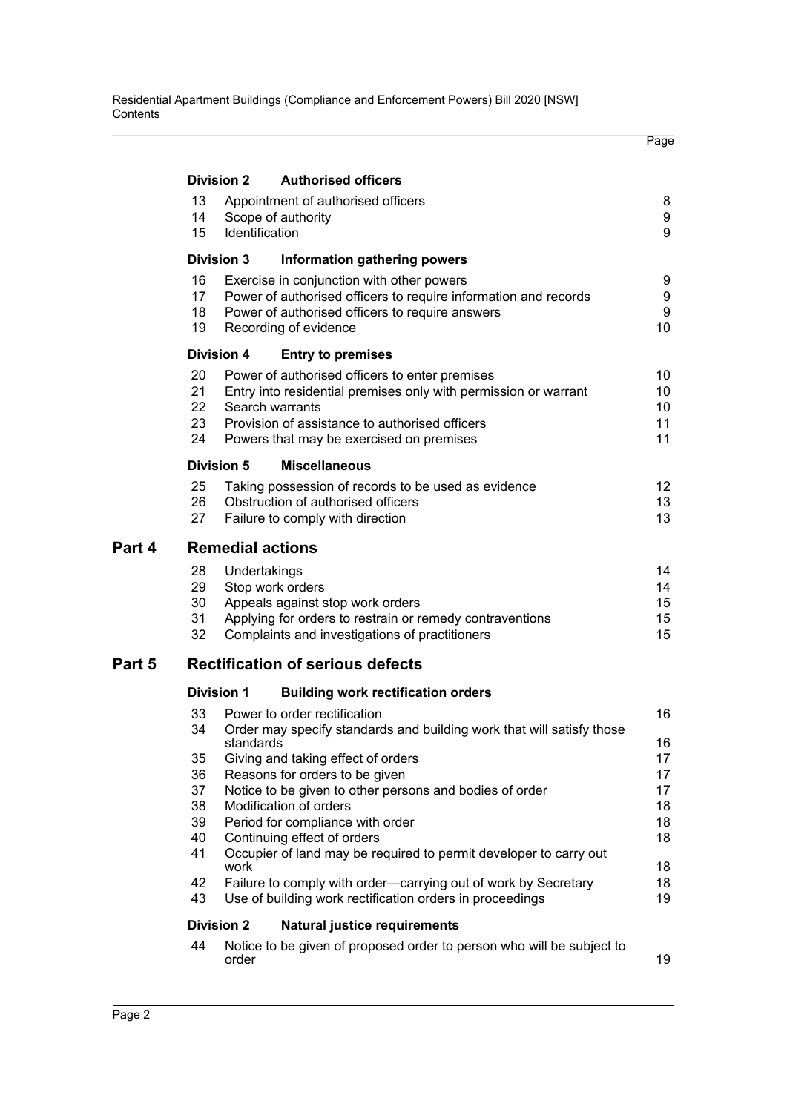|        |                                                                                                                                                                                                                                                                                                                                                                                                 |                                                                                                                                             |                                                                                                                                                                                          | Page                             |  |  |  |  |  |  |
|--------|-------------------------------------------------------------------------------------------------------------------------------------------------------------------------------------------------------------------------------------------------------------------------------------------------------------------------------------------------------------------------------------------------|---------------------------------------------------------------------------------------------------------------------------------------------|------------------------------------------------------------------------------------------------------------------------------------------------------------------------------------------|----------------------------------|--|--|--|--|--|--|
|        | <b>Division 2</b><br><b>Authorised officers</b>                                                                                                                                                                                                                                                                                                                                                 |                                                                                                                                             |                                                                                                                                                                                          |                                  |  |  |  |  |  |  |
|        | 13<br>14<br>15                                                                                                                                                                                                                                                                                                                                                                                  | Identification                                                                                                                              | Appointment of authorised officers<br>Scope of authority                                                                                                                                 | 8<br>9<br>9                      |  |  |  |  |  |  |
|        | <b>Division 3</b>                                                                                                                                                                                                                                                                                                                                                                               |                                                                                                                                             | Information gathering powers                                                                                                                                                             |                                  |  |  |  |  |  |  |
|        | 16<br>17 <sup>2</sup><br>18<br>19                                                                                                                                                                                                                                                                                                                                                               |                                                                                                                                             | Exercise in conjunction with other powers<br>Power of authorised officers to require information and records<br>Power of authorised officers to require answers<br>Recording of evidence | 9<br>9<br>$\boldsymbol{9}$<br>10 |  |  |  |  |  |  |
|        | <b>Division 4</b>                                                                                                                                                                                                                                                                                                                                                                               |                                                                                                                                             | <b>Entry to premises</b>                                                                                                                                                                 |                                  |  |  |  |  |  |  |
|        | 20<br>Power of authorised officers to enter premises<br>21<br>Entry into residential premises only with permission or warrant<br>22<br>Search warrants<br>23<br>Provision of assistance to authorised officers<br>24<br>Powers that may be exercised on premises                                                                                                                                |                                                                                                                                             |                                                                                                                                                                                          |                                  |  |  |  |  |  |  |
|        | <b>Division 5</b><br><b>Miscellaneous</b>                                                                                                                                                                                                                                                                                                                                                       |                                                                                                                                             |                                                                                                                                                                                          |                                  |  |  |  |  |  |  |
|        | 25<br>26<br>27                                                                                                                                                                                                                                                                                                                                                                                  |                                                                                                                                             | Taking possession of records to be used as evidence<br>Obstruction of authorised officers<br>Failure to comply with direction                                                            | 12 <sup>°</sup><br>13<br>13      |  |  |  |  |  |  |
| Part 4 | <b>Remedial actions</b>                                                                                                                                                                                                                                                                                                                                                                         |                                                                                                                                             |                                                                                                                                                                                          |                                  |  |  |  |  |  |  |
|        | 28<br>29<br>30<br>31<br>32                                                                                                                                                                                                                                                                                                                                                                      | Undertakings                                                                                                                                | Stop work orders<br>Appeals against stop work orders<br>Applying for orders to restrain or remedy contraventions<br>Complaints and investigations of practitioners                       | 14<br>14<br>15<br>15<br>15       |  |  |  |  |  |  |
| Part 5 | <b>Rectification of serious defects</b>                                                                                                                                                                                                                                                                                                                                                         |                                                                                                                                             |                                                                                                                                                                                          |                                  |  |  |  |  |  |  |
|        | <b>Division 1</b><br><b>Building work rectification orders</b>                                                                                                                                                                                                                                                                                                                                  |                                                                                                                                             |                                                                                                                                                                                          |                                  |  |  |  |  |  |  |
|        | Power to order rectification<br>33<br>34 Order may specify standards and building work that will satisfy those<br>standards<br>Giving and taking effect of orders<br>35<br>36<br>Reasons for orders to be given<br>Notice to be given to other persons and bodies of order<br>37<br>38<br>Modification of orders<br>Period for compliance with order<br>39<br>Continuing effect of orders<br>40 |                                                                                                                                             |                                                                                                                                                                                          |                                  |  |  |  |  |  |  |
|        | 41<br>42                                                                                                                                                                                                                                                                                                                                                                                        | Occupier of land may be required to permit developer to carry out<br>work<br>Failure to comply with order—carrying out of work by Secretary |                                                                                                                                                                                          |                                  |  |  |  |  |  |  |
|        | 43<br>Use of building work rectification orders in proceedings                                                                                                                                                                                                                                                                                                                                  |                                                                                                                                             |                                                                                                                                                                                          |                                  |  |  |  |  |  |  |
|        | <b>Division 2</b><br><b>Natural justice requirements</b>                                                                                                                                                                                                                                                                                                                                        |                                                                                                                                             |                                                                                                                                                                                          |                                  |  |  |  |  |  |  |
|        | 44                                                                                                                                                                                                                                                                                                                                                                                              | order                                                                                                                                       | Notice to be given of proposed order to person who will be subject to                                                                                                                    | 19                               |  |  |  |  |  |  |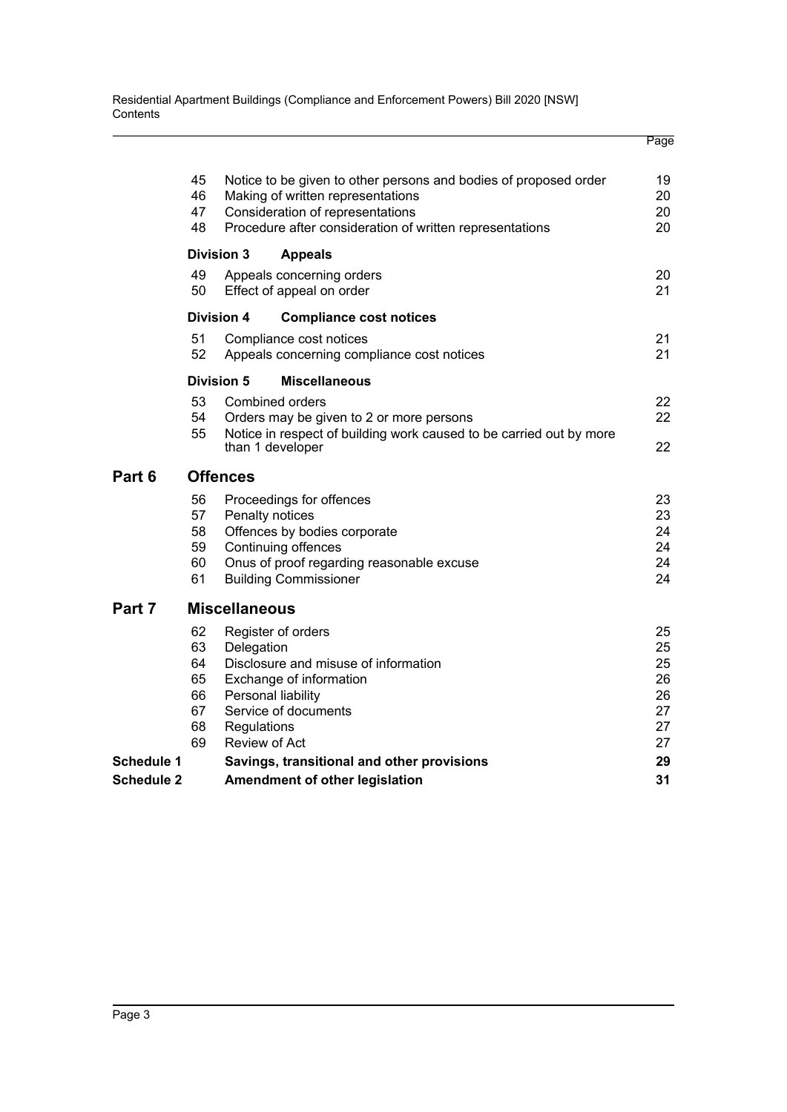Residential Apartment Buildings (Compliance and Enforcement Powers) Bill 2020 [NSW] **Contents** 

|                   |                                                                                                                                                                                                                               |                                                                       |                                                                                                                                                                                 | Page                                         |  |  |  |  |  |
|-------------------|-------------------------------------------------------------------------------------------------------------------------------------------------------------------------------------------------------------------------------|-----------------------------------------------------------------------|---------------------------------------------------------------------------------------------------------------------------------------------------------------------------------|----------------------------------------------|--|--|--|--|--|
|                   | 45<br>Notice to be given to other persons and bodies of proposed order<br>46<br>Making of written representations<br>47<br>Consideration of representations<br>48<br>Procedure after consideration of written representations |                                                                       |                                                                                                                                                                                 |                                              |  |  |  |  |  |
|                   |                                                                                                                                                                                                                               | <b>Division 3</b>                                                     | <b>Appeals</b>                                                                                                                                                                  |                                              |  |  |  |  |  |
|                   | 49<br>50                                                                                                                                                                                                                      |                                                                       | Appeals concerning orders<br>Effect of appeal on order                                                                                                                          | 20<br>21                                     |  |  |  |  |  |
|                   |                                                                                                                                                                                                                               | <b>Division 4</b>                                                     | <b>Compliance cost notices</b>                                                                                                                                                  |                                              |  |  |  |  |  |
|                   | 51<br>52                                                                                                                                                                                                                      | Compliance cost notices<br>Appeals concerning compliance cost notices |                                                                                                                                                                                 |                                              |  |  |  |  |  |
|                   | Division 5<br><b>Miscellaneous</b>                                                                                                                                                                                            |                                                                       |                                                                                                                                                                                 |                                              |  |  |  |  |  |
|                   | 53<br>54<br>55                                                                                                                                                                                                                |                                                                       | Combined orders<br>Orders may be given to 2 or more persons<br>Notice in respect of building work caused to be carried out by more                                              | 22<br>22                                     |  |  |  |  |  |
|                   |                                                                                                                                                                                                                               |                                                                       | than 1 developer                                                                                                                                                                | 22                                           |  |  |  |  |  |
| Part 6            | <b>Offences</b>                                                                                                                                                                                                               |                                                                       |                                                                                                                                                                                 |                                              |  |  |  |  |  |
|                   | 56<br>57<br>58<br>59<br>60<br>61                                                                                                                                                                                              |                                                                       | Proceedings for offences<br>Penalty notices<br>Offences by bodies corporate<br>Continuing offences<br>Onus of proof regarding reasonable excuse<br><b>Building Commissioner</b> | 23<br>23<br>24<br>24<br>24<br>24             |  |  |  |  |  |
| Part 7            |                                                                                                                                                                                                                               | <b>Miscellaneous</b>                                                  |                                                                                                                                                                                 |                                              |  |  |  |  |  |
|                   | 62<br>63<br>64<br>65<br>66<br>67<br>68<br>69                                                                                                                                                                                  | Delegation<br>Regulations<br>Review of Act                            | Register of orders<br>Disclosure and misuse of information<br>Exchange of information<br>Personal liability<br>Service of documents                                             | 25<br>25<br>25<br>26<br>26<br>27<br>27<br>27 |  |  |  |  |  |
| <b>Schedule 1</b> |                                                                                                                                                                                                                               | Savings, transitional and other provisions                            |                                                                                                                                                                                 |                                              |  |  |  |  |  |
| <b>Schedule 2</b> |                                                                                                                                                                                                                               | Amendment of other legislation                                        |                                                                                                                                                                                 |                                              |  |  |  |  |  |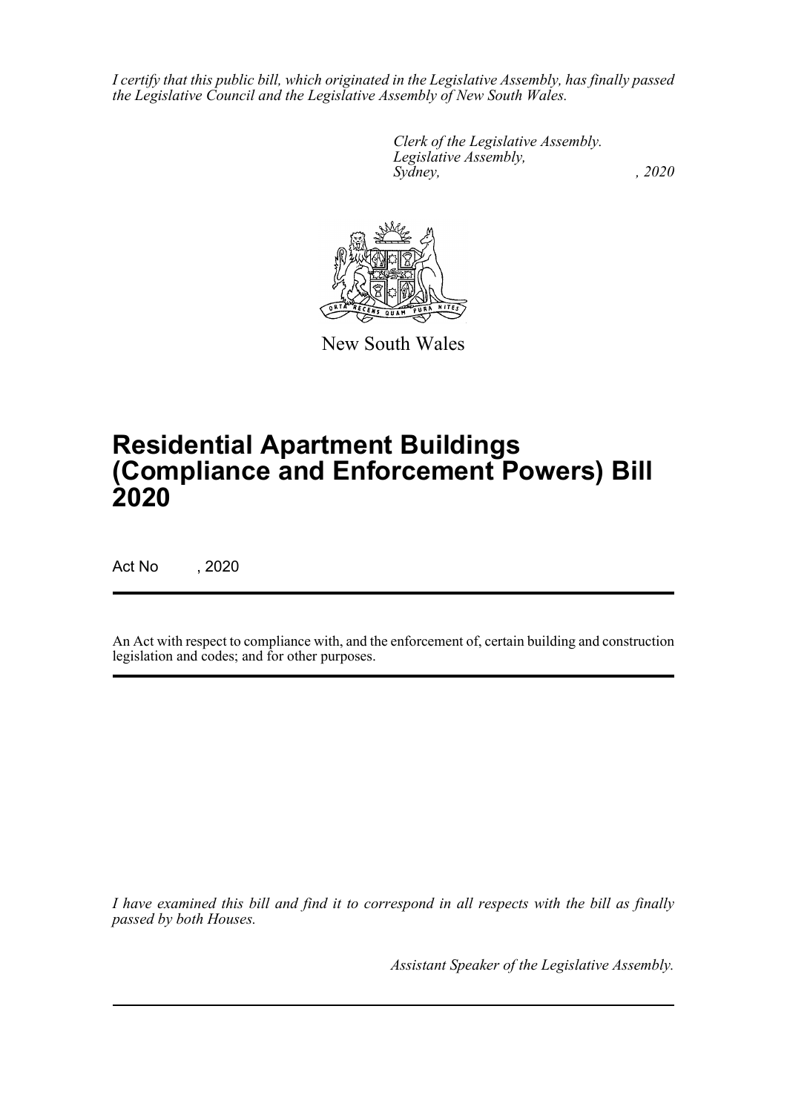*I certify that this public bill, which originated in the Legislative Assembly, has finally passed the Legislative Council and the Legislative Assembly of New South Wales.*

> *Clerk of the Legislative Assembly. Legislative Assembly, Sydney, , 2020*



New South Wales

# **Residential Apartment Buildings (Compliance and Enforcement Powers) Bill 2020**

Act No , 2020

An Act with respect to compliance with, and the enforcement of, certain building and construction legislation and codes; and for other purposes.

*I have examined this bill and find it to correspond in all respects with the bill as finally passed by both Houses.*

*Assistant Speaker of the Legislative Assembly.*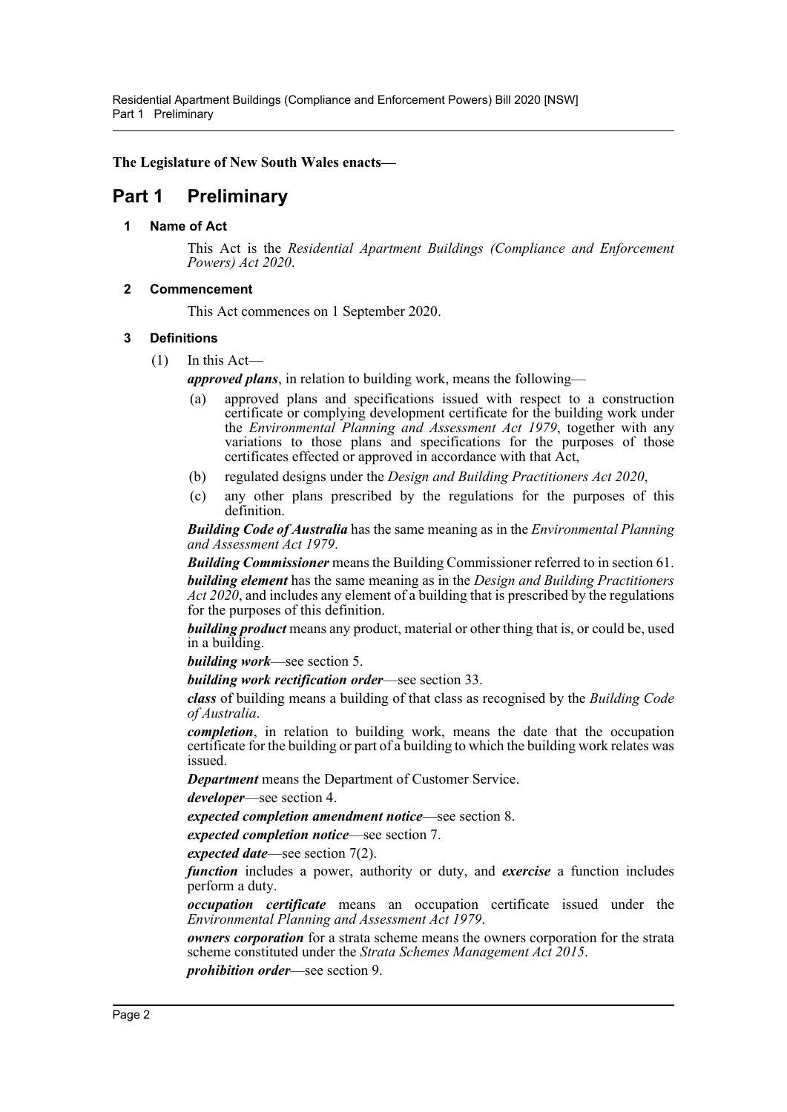**The Legislature of New South Wales enacts—**

## <span id="page-4-1"></span><span id="page-4-0"></span>**Part 1 Preliminary**

## **1 Name of Act**

This Act is the *Residential Apartment Buildings (Compliance and Enforcement Powers) Act 2020*.

## <span id="page-4-2"></span>**2 Commencement**

This Act commences on 1 September 2020.

## <span id="page-4-3"></span>**3 Definitions**

 $(1)$  In this Act—

*approved plans*, in relation to building work, means the following—

- (a) approved plans and specifications issued with respect to a construction certificate or complying development certificate for the building work under the *Environmental Planning and Assessment Act 1979*, together with any variations to those plans and specifications for the purposes of those certificates effected or approved in accordance with that Act,
- (b) regulated designs under the *Design and Building Practitioners Act 2020*,
- (c) any other plans prescribed by the regulations for the purposes of this definition.

*Building Code of Australia* has the same meaning as in the *Environmental Planning and Assessment Act 1979*.

*Building Commissioner* means the Building Commissioner referred to in section 61. *building element* has the same meaning as in the *Design and Building Practitioners Act 2020*, and includes any element of a building that is prescribed by the regulations for the purposes of this definition.

*building product* means any product, material or other thing that is, or could be, used in a building.

*building work*—see section [5](#page-5-1).

*building work rectification order*—see section [33.](#page-18-2)

*class* of building means a building of that class as recognised by the *Building Code of Australia*.

*completion*, in relation to building work, means the date that the occupation certificate for the building or part of a building to which the building work relates was issued.

*Department* means the Department of Customer Service.

*developer*—see section [4](#page-5-0).

*expected completion amendment notice*—see section [8](#page-7-2).

*expected completion notice*—see section [7](#page-7-1).

*expected date*—see section [7\(](#page-7-1)2).

*function* includes a power, authority or duty, and *exercise* a function includes perform a duty.

*occupation certificate* means an occupation certificate issued under the *Environmental Planning and Assessment Act 1979*.

*owners corporation* for a strata scheme means the owners corporation for the strata scheme constituted under the *Strata Schemes Management Act 2015*.

*prohibition order*—see section [9.](#page-8-0)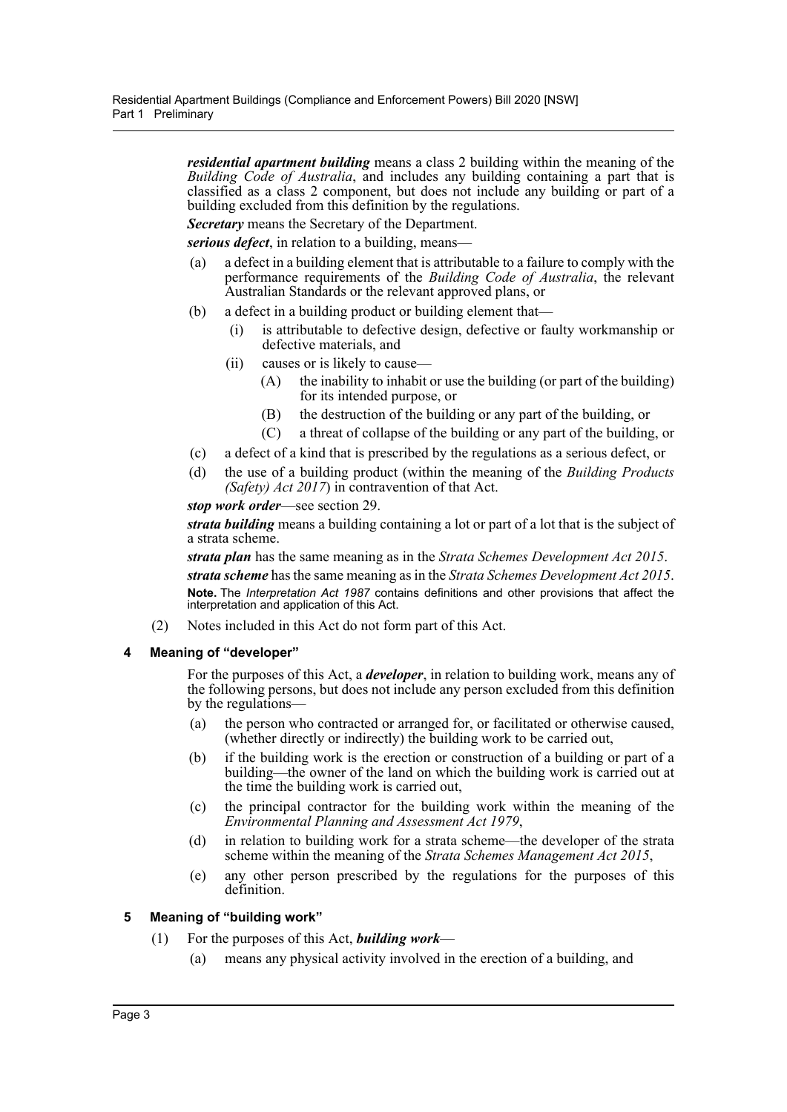*residential apartment building* means a class 2 building within the meaning of the *Building Code of Australia*, and includes any building containing a part that is classified as a class 2 component, but does not include any building or part of a building excluded from this definition by the regulations.

*Secretary* means the Secretary of the Department.

*serious defect*, in relation to a building, means—

- (a) a defect in a building element that is attributable to a failure to comply with the performance requirements of the *Building Code of Australia*, the relevant Australian Standards or the relevant approved plans, or
- (b) a defect in a building product or building element that—
	- (i) is attributable to defective design, defective or faulty workmanship or defective materials, and
	- (ii) causes or is likely to cause—
		- (A) the inability to inhabit or use the building (or part of the building) for its intended purpose, or
		- (B) the destruction of the building or any part of the building, or
		- (C) a threat of collapse of the building or any part of the building, or
- (c) a defect of a kind that is prescribed by the regulations as a serious defect, or
- (d) the use of a building product (within the meaning of the *Building Products (Safety) Act 2017*) in contravention of that Act.

#### *stop work order*—see section [29](#page-16-2).

*strata building* means a building containing a lot or part of a lot that is the subject of a strata scheme.

*strata plan* has the same meaning as in the *Strata Schemes Development Act 2015*.

*strata scheme* has the same meaning as in the *Strata Schemes Development Act 2015*. **Note.** The *Interpretation Act 1987* contains definitions and other provisions that affect the interpretation and application of this Act.

(2) Notes included in this Act do not form part of this Act.

#### <span id="page-5-0"></span>**4 Meaning of "developer"**

For the purposes of this Act, a *developer*, in relation to building work, means any of the following persons, but does not include any person excluded from this definition by the regulations—

- (a) the person who contracted or arranged for, or facilitated or otherwise caused, (whether directly or indirectly) the building work to be carried out,
- (b) if the building work is the erection or construction of a building or part of a building—the owner of the land on which the building work is carried out at the time the building work is carried out,
- (c) the principal contractor for the building work within the meaning of the *Environmental Planning and Assessment Act 1979*,
- (d) in relation to building work for a strata scheme—the developer of the strata scheme within the meaning of the *Strata Schemes Management Act 2015*,
- (e) any other person prescribed by the regulations for the purposes of this definition.

## <span id="page-5-1"></span>**5 Meaning of "building work"**

- (1) For the purposes of this Act, *building work*
	- (a) means any physical activity involved in the erection of a building, and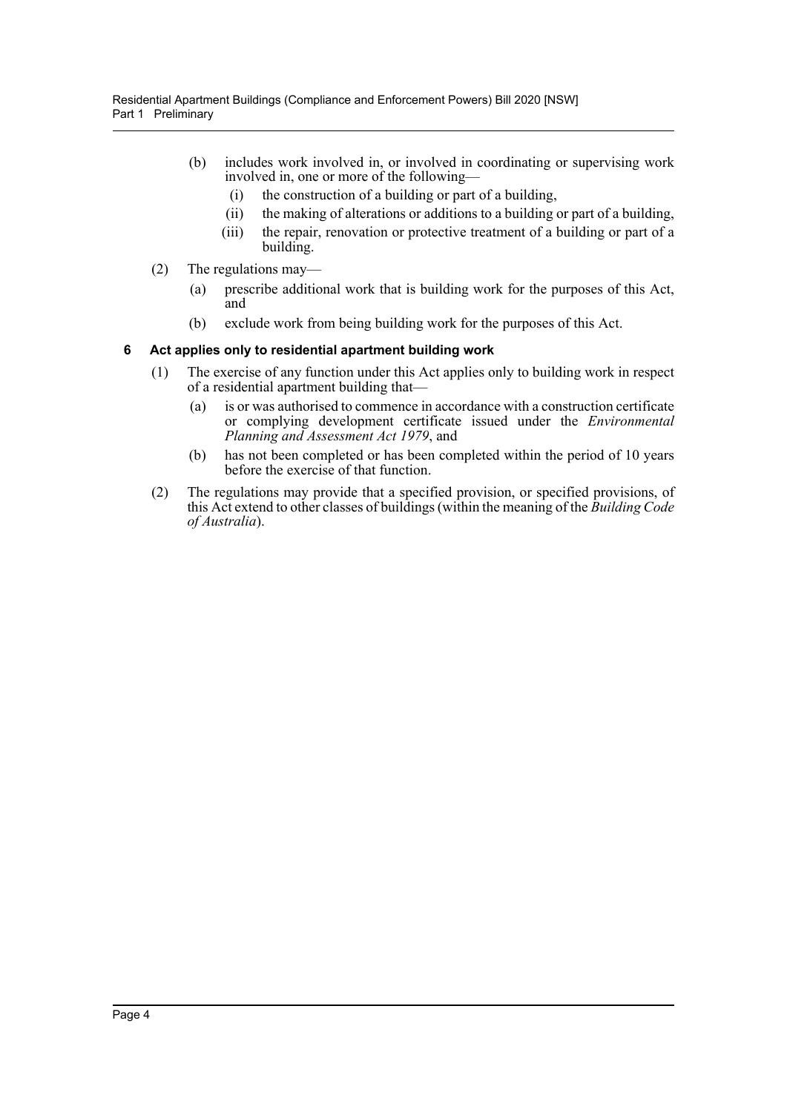- (b) includes work involved in, or involved in coordinating or supervising work involved in, one or more of the following—
	- (i) the construction of a building or part of a building,
	- (ii) the making of alterations or additions to a building or part of a building,
	- (iii) the repair, renovation or protective treatment of a building or part of a building.
- (2) The regulations may—
	- (a) prescribe additional work that is building work for the purposes of this Act, and
	- (b) exclude work from being building work for the purposes of this Act.

## <span id="page-6-0"></span>**6 Act applies only to residential apartment building work**

- (1) The exercise of any function under this Act applies only to building work in respect of a residential apartment building that—
	- (a) is or was authorised to commence in accordance with a construction certificate or complying development certificate issued under the *Environmental Planning and Assessment Act 1979*, and
	- (b) has not been completed or has been completed within the period of 10 years before the exercise of that function.
- (2) The regulations may provide that a specified provision, or specified provisions, of this Act extend to other classes of buildings (within the meaning of the *Building Code of Australia*).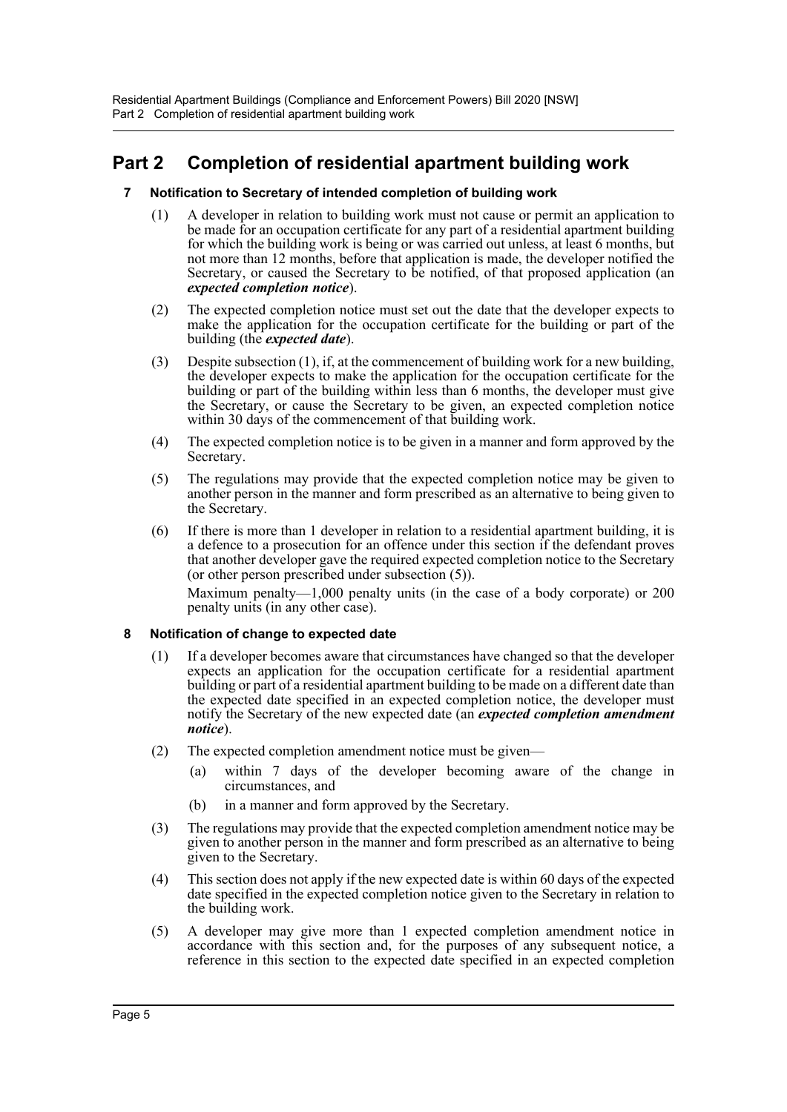# <span id="page-7-1"></span><span id="page-7-0"></span>**Part 2 Completion of residential apartment building work**

## **7 Notification to Secretary of intended completion of building work**

- (1) A developer in relation to building work must not cause or permit an application to be made for an occupation certificate for any part of a residential apartment building for which the building work is being or was carried out unless, at least 6 months, but not more than 12 months, before that application is made, the developer notified the Secretary, or caused the Secretary to be notified, of that proposed application (an *expected completion notice*).
- (2) The expected completion notice must set out the date that the developer expects to make the application for the occupation certificate for the building or part of the building (the *expected date*).
- (3) Despite subsection (1), if, at the commencement of building work for a new building, the developer expects to make the application for the occupation certificate for the building or part of the building within less than 6 months, the developer must give the Secretary, or cause the Secretary to be given, an expected completion notice within 30 days of the commencement of that building work.
- (4) The expected completion notice is to be given in a manner and form approved by the Secretary.
- (5) The regulations may provide that the expected completion notice may be given to another person in the manner and form prescribed as an alternative to being given to the Secretary.
- (6) If there is more than 1 developer in relation to a residential apartment building, it is a defence to a prosecution for an offence under this section if the defendant proves that another developer gave the required expected completion notice to the Secretary (or other person prescribed under subsection (5)).

Maximum penalty—1,000 penalty units (in the case of a body corporate) or 200 penalty units (in any other case).

## <span id="page-7-2"></span>**8 Notification of change to expected date**

- (1) If a developer becomes aware that circumstances have changed so that the developer expects an application for the occupation certificate for a residential apartment building or part of a residential apartment building to be made on a different date than the expected date specified in an expected completion notice, the developer must notify the Secretary of the new expected date (an *expected completion amendment notice*).
- (2) The expected completion amendment notice must be given—
	- (a) within 7 days of the developer becoming aware of the change in circumstances, and
	- (b) in a manner and form approved by the Secretary.
- (3) The regulations may provide that the expected completion amendment notice may be given to another person in the manner and form prescribed as an alternative to being given to the Secretary.
- (4) This section does not apply if the new expected date is within 60 days of the expected date specified in the expected completion notice given to the Secretary in relation to the building work.
- (5) A developer may give more than 1 expected completion amendment notice in accordance with this section and, for the purposes of any subsequent notice, a reference in this section to the expected date specified in an expected completion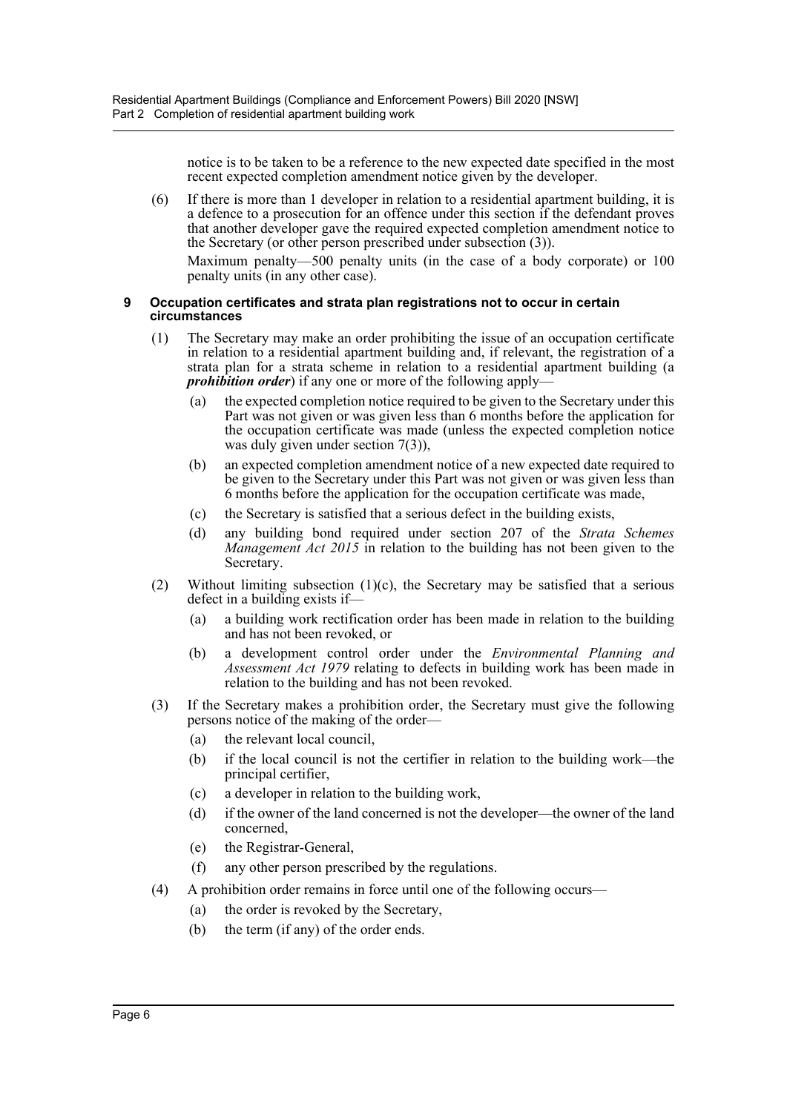notice is to be taken to be a reference to the new expected date specified in the most recent expected completion amendment notice given by the developer.

(6) If there is more than 1 developer in relation to a residential apartment building, it is a defence to a prosecution for an offence under this section if the defendant proves that another developer gave the required expected completion amendment notice to the Secretary (or other person prescribed under subsection (3)).

Maximum penalty—500 penalty units (in the case of a body corporate) or 100 penalty units (in any other case).

#### <span id="page-8-0"></span>**9 Occupation certificates and strata plan registrations not to occur in certain circumstances**

- (1) The Secretary may make an order prohibiting the issue of an occupation certificate in relation to a residential apartment building and, if relevant, the registration of a strata plan for a strata scheme in relation to a residential apartment building (a *prohibition order*) if any one or more of the following apply-
	- (a) the expected completion notice required to be given to the Secretary under this Part was not given or was given less than 6 months before the application for the occupation certificate was made (unless the expected completion notice was duly given under section [7\(](#page-7-1)3)),
	- (b) an expected completion amendment notice of a new expected date required to be given to the Secretary under this Part was not given or was given less than 6 months before the application for the occupation certificate was made,
	- (c) the Secretary is satisfied that a serious defect in the building exists,
	- (d) any building bond required under section 207 of the *Strata Schemes Management Act 2015* in relation to the building has not been given to the Secretary.
- (2) Without limiting subsection  $(1)(c)$ , the Secretary may be satisfied that a serious defect in a building exists if—
	- (a) a building work rectification order has been made in relation to the building and has not been revoked, or
	- (b) a development control order under the *Environmental Planning and Assessment Act 1979* relating to defects in building work has been made in relation to the building and has not been revoked.
- (3) If the Secretary makes a prohibition order, the Secretary must give the following persons notice of the making of the order—
	- (a) the relevant local council,
	- (b) if the local council is not the certifier in relation to the building work—the principal certifier,
	- (c) a developer in relation to the building work,
	- (d) if the owner of the land concerned is not the developer—the owner of the land concerned,
	- (e) the Registrar-General,
	- (f) any other person prescribed by the regulations.
- (4) A prohibition order remains in force until one of the following occurs—
	- (a) the order is revoked by the Secretary,
	- (b) the term (if any) of the order ends.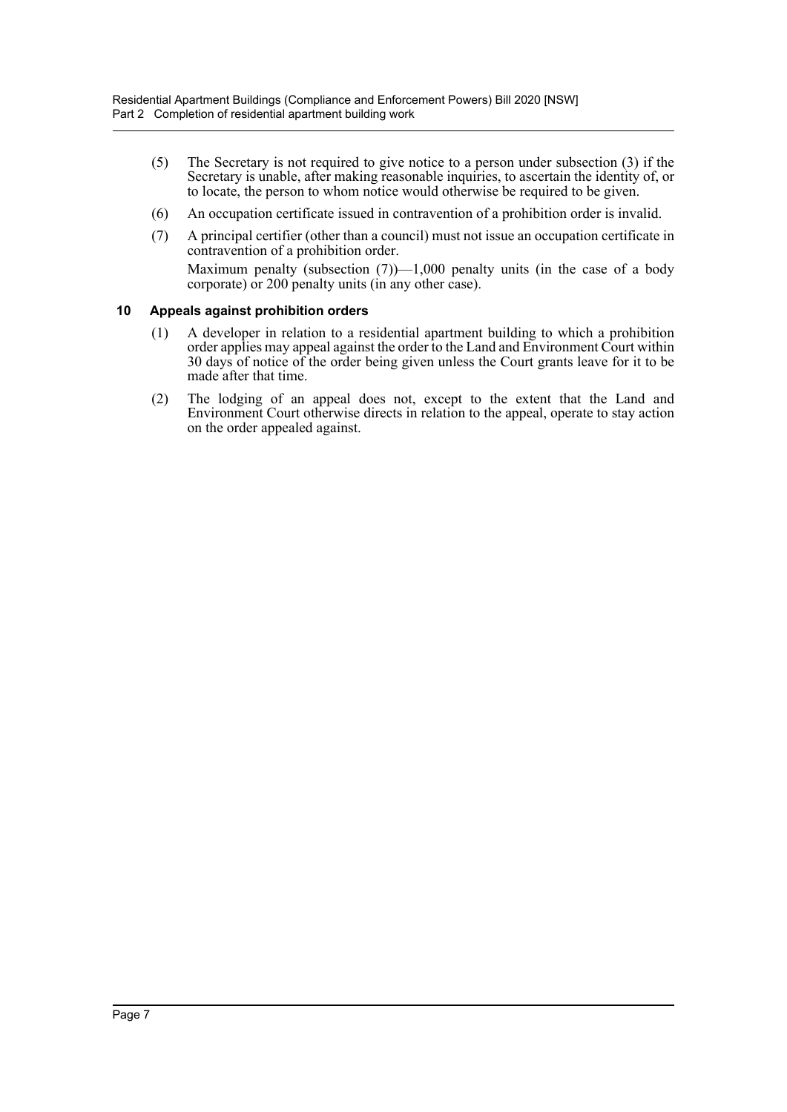- (5) The Secretary is not required to give notice to a person under subsection (3) if the Secretary is unable, after making reasonable inquiries, to ascertain the identity of, or to locate, the person to whom notice would otherwise be required to be given.
- (6) An occupation certificate issued in contravention of a prohibition order is invalid.
- (7) A principal certifier (other than a council) must not issue an occupation certificate in contravention of a prohibition order. Maximum penalty (subsection  $(7)$ )—1,000 penalty units (in the case of a body corporate) or 200 penalty units (in any other case).

## <span id="page-9-0"></span>**10 Appeals against prohibition orders**

- (1) A developer in relation to a residential apartment building to which a prohibition order applies may appeal against the order to the Land and Environment Court within 30 days of notice of the order being given unless the Court grants leave for it to be made after that time.
- (2) The lodging of an appeal does not, except to the extent that the Land and Environment Court otherwise directs in relation to the appeal, operate to stay action on the order appealed against.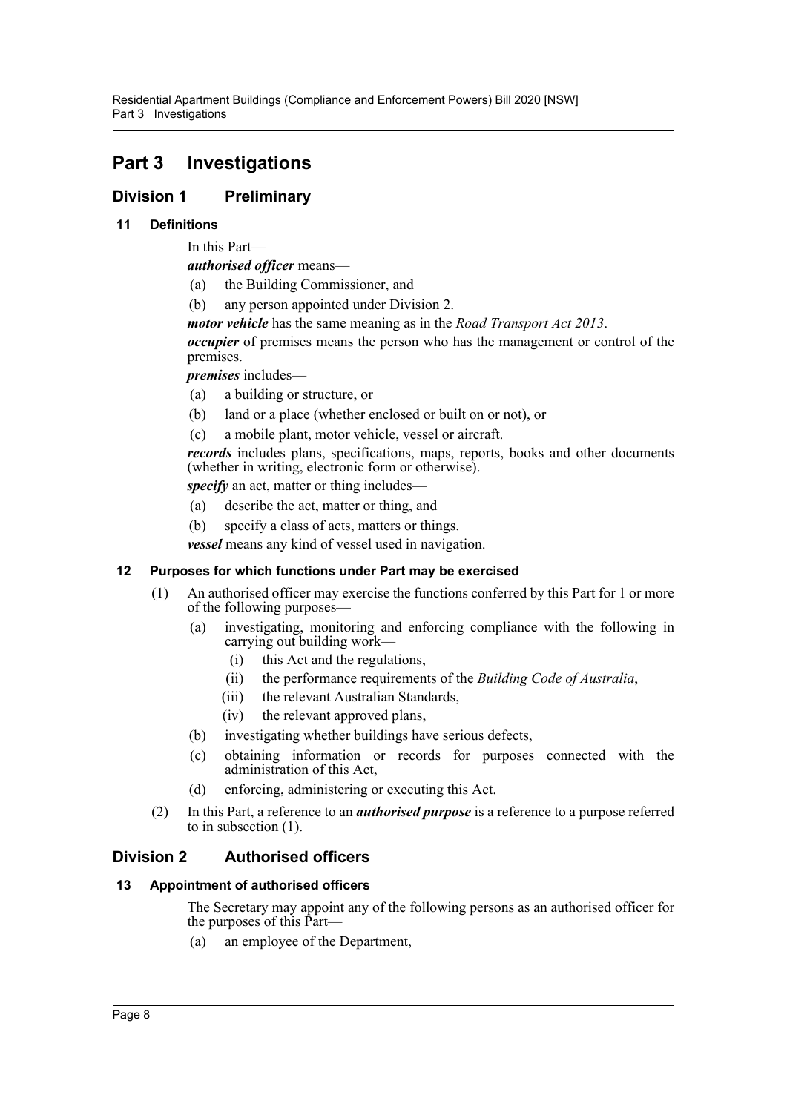# <span id="page-10-0"></span>**Part 3 Investigations**

## <span id="page-10-1"></span>**Division 1 Preliminary**

## <span id="page-10-2"></span>**11 Definitions**

In this Part—

*authorised officer* means—

- (a) the Building Commissioner, and
- (b) any person appointed under Division 2.

*motor vehicle* has the same meaning as in the *Road Transport Act 2013*.

*occupier* of premises means the person who has the management or control of the premises.

*premises* includes—

- (a) a building or structure, or
- (b) land or a place (whether enclosed or built on or not), or
- (c) a mobile plant, motor vehicle, vessel or aircraft.

*records* includes plans, specifications, maps, reports, books and other documents (whether in writing, electronic form or otherwise).

*specify* an act, matter or thing includes—

- (a) describe the act, matter or thing, and
- (b) specify a class of acts, matters or things.

*vessel* means any kind of vessel used in navigation.

## <span id="page-10-3"></span>**12 Purposes for which functions under Part may be exercised**

- (1) An authorised officer may exercise the functions conferred by this Part for 1 or more of the following purposes—
	- (a) investigating, monitoring and enforcing compliance with the following in carrying out building work—
		- (i) this Act and the regulations,
		- (ii) the performance requirements of the *Building Code of Australia*,
		- (iii) the relevant Australian Standards,
		- (iv) the relevant approved plans,
	- (b) investigating whether buildings have serious defects,
	- (c) obtaining information or records for purposes connected with the administration of this Act,
	- (d) enforcing, administering or executing this Act.
- (2) In this Part, a reference to an *authorised purpose* is a reference to a purpose referred to in subsection (1).

## <span id="page-10-4"></span>**Division 2 Authorised officers**

## <span id="page-10-5"></span>**13 Appointment of authorised officers**

The Secretary may appoint any of the following persons as an authorised officer for the purposes of this Part—

(a) an employee of the Department,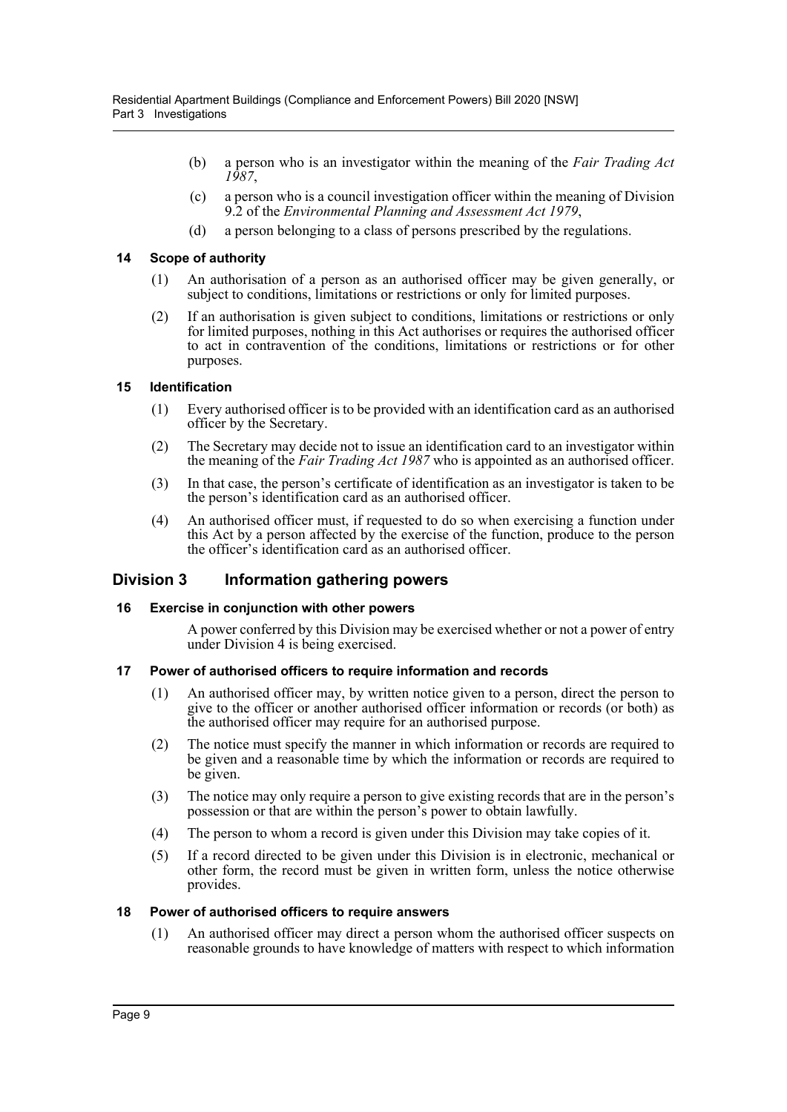- (b) a person who is an investigator within the meaning of the *Fair Trading Act 1987*,
- (c) a person who is a council investigation officer within the meaning of Division 9.2 of the *Environmental Planning and Assessment Act 1979*,
- (d) a person belonging to a class of persons prescribed by the regulations.

## <span id="page-11-0"></span>**14 Scope of authority**

- (1) An authorisation of a person as an authorised officer may be given generally, or subject to conditions, limitations or restrictions or only for limited purposes.
- (2) If an authorisation is given subject to conditions, limitations or restrictions or only for limited purposes, nothing in this Act authorises or requires the authorised officer to act in contravention of the conditions, limitations or restrictions or for other purposes.

## <span id="page-11-1"></span>**15 Identification**

- (1) Every authorised officer is to be provided with an identification card as an authorised officer by the Secretary.
- (2) The Secretary may decide not to issue an identification card to an investigator within the meaning of the *Fair Trading Act 1987* who is appointed as an authorised officer.
- (3) In that case, the person's certificate of identification as an investigator is taken to be the person's identification card as an authorised officer.
- (4) An authorised officer must, if requested to do so when exercising a function under this Act by a person affected by the exercise of the function, produce to the person the officer's identification card as an authorised officer.

## <span id="page-11-2"></span>**Division 3 Information gathering powers**

## <span id="page-11-3"></span>**16 Exercise in conjunction with other powers**

A power conferred by this Division may be exercised whether or not a power of entry under Division 4 is being exercised.

## <span id="page-11-4"></span>**17 Power of authorised officers to require information and records**

- (1) An authorised officer may, by written notice given to a person, direct the person to give to the officer or another authorised officer information or records (or both) as the authorised officer may require for an authorised purpose.
- (2) The notice must specify the manner in which information or records are required to be given and a reasonable time by which the information or records are required to be given.
- (3) The notice may only require a person to give existing records that are in the person's possession or that are within the person's power to obtain lawfully.
- (4) The person to whom a record is given under this Division may take copies of it.
- (5) If a record directed to be given under this Division is in electronic, mechanical or other form, the record must be given in written form, unless the notice otherwise provides.

## <span id="page-11-5"></span>**18 Power of authorised officers to require answers**

(1) An authorised officer may direct a person whom the authorised officer suspects on reasonable grounds to have knowledge of matters with respect to which information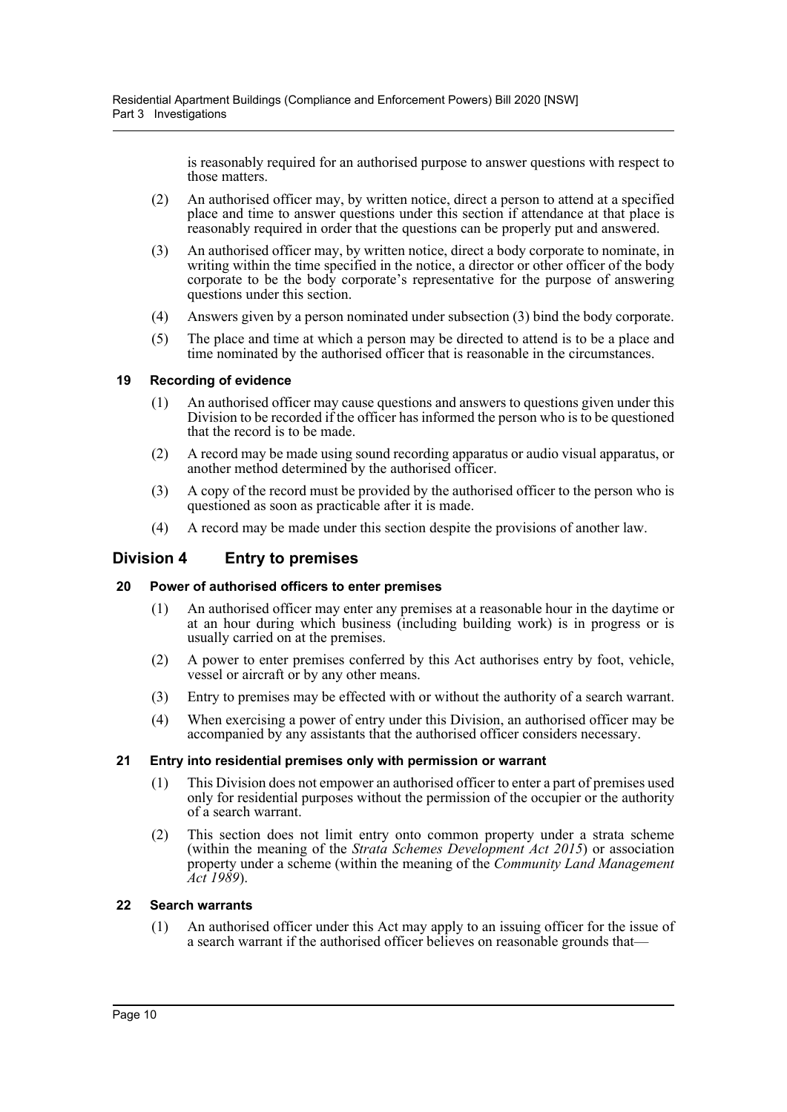is reasonably required for an authorised purpose to answer questions with respect to those matters.

- (2) An authorised officer may, by written notice, direct a person to attend at a specified place and time to answer questions under this section if attendance at that place is reasonably required in order that the questions can be properly put and answered.
- (3) An authorised officer may, by written notice, direct a body corporate to nominate, in writing within the time specified in the notice, a director or other officer of the body corporate to be the body corporate's representative for the purpose of answering questions under this section.
- (4) Answers given by a person nominated under subsection (3) bind the body corporate.
- (5) The place and time at which a person may be directed to attend is to be a place and time nominated by the authorised officer that is reasonable in the circumstances.

## <span id="page-12-0"></span>**19 Recording of evidence**

- (1) An authorised officer may cause questions and answers to questions given under this Division to be recorded if the officer has informed the person who is to be questioned that the record is to be made.
- (2) A record may be made using sound recording apparatus or audio visual apparatus, or another method determined by the authorised officer.
- (3) A copy of the record must be provided by the authorised officer to the person who is questioned as soon as practicable after it is made.
- (4) A record may be made under this section despite the provisions of another law.

## <span id="page-12-1"></span>**Division 4 Entry to premises**

## <span id="page-12-2"></span>**20 Power of authorised officers to enter premises**

- (1) An authorised officer may enter any premises at a reasonable hour in the daytime or at an hour during which business (including building work) is in progress or is usually carried on at the premises.
- (2) A power to enter premises conferred by this Act authorises entry by foot, vehicle, vessel or aircraft or by any other means.
- (3) Entry to premises may be effected with or without the authority of a search warrant.
- (4) When exercising a power of entry under this Division, an authorised officer may be accompanied by any assistants that the authorised officer considers necessary.

## <span id="page-12-3"></span>**21 Entry into residential premises only with permission or warrant**

- (1) This Division does not empower an authorised officer to enter a part of premises used only for residential purposes without the permission of the occupier or the authority of a search warrant.
- (2) This section does not limit entry onto common property under a strata scheme (within the meaning of the *Strata Schemes Development Act 2015*) or association property under a scheme (within the meaning of the *Community Land Management Act 1989*).

## <span id="page-12-4"></span>**22 Search warrants**

(1) An authorised officer under this Act may apply to an issuing officer for the issue of a search warrant if the authorised officer believes on reasonable grounds that—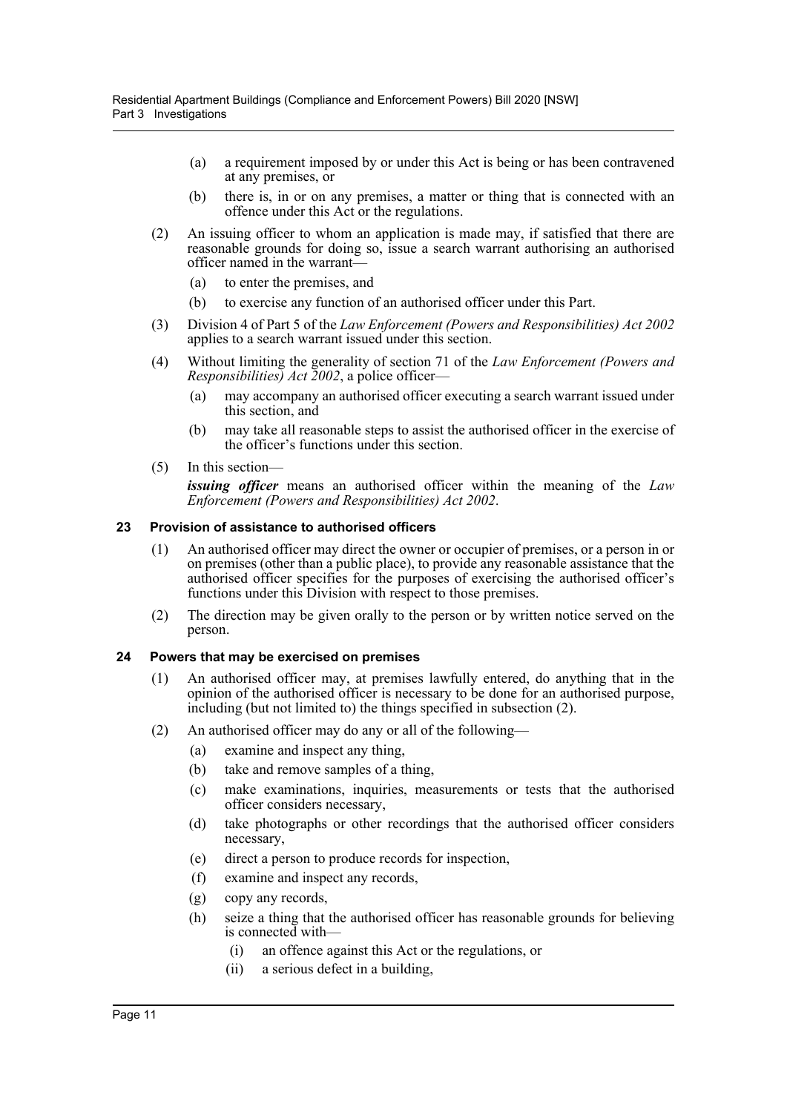- (a) a requirement imposed by or under this Act is being or has been contravened at any premises, or
- (b) there is, in or on any premises, a matter or thing that is connected with an offence under this Act or the regulations.
- (2) An issuing officer to whom an application is made may, if satisfied that there are reasonable grounds for doing so, issue a search warrant authorising an authorised officer named in the warrant—
	- (a) to enter the premises, and
	- (b) to exercise any function of an authorised officer under this Part.
- (3) Division 4 of Part 5 of the *Law Enforcement (Powers and Responsibilities) Act 2002* applies to a search warrant issued under this section.
- (4) Without limiting the generality of section 71 of the *Law Enforcement (Powers and Responsibilities) Act 2002*, a police officer—
	- (a) may accompany an authorised officer executing a search warrant issued under this section, and
	- (b) may take all reasonable steps to assist the authorised officer in the exercise of the officer's functions under this section.
- (5) In this section—

*issuing officer* means an authorised officer within the meaning of the *Law Enforcement (Powers and Responsibilities) Act 2002*.

#### <span id="page-13-0"></span>**23 Provision of assistance to authorised officers**

- (1) An authorised officer may direct the owner or occupier of premises, or a person in or on premises (other than a public place), to provide any reasonable assistance that the authorised officer specifies for the purposes of exercising the authorised officer's functions under this Division with respect to those premises.
- (2) The direction may be given orally to the person or by written notice served on the person.

## <span id="page-13-1"></span>**24 Powers that may be exercised on premises**

- (1) An authorised officer may, at premises lawfully entered, do anything that in the opinion of the authorised officer is necessary to be done for an authorised purpose, including (but not limited to) the things specified in subsection (2).
- (2) An authorised officer may do any or all of the following—
	- (a) examine and inspect any thing,
	- (b) take and remove samples of a thing,
	- (c) make examinations, inquiries, measurements or tests that the authorised officer considers necessary,
	- (d) take photographs or other recordings that the authorised officer considers necessary,
	- (e) direct a person to produce records for inspection,
	- (f) examine and inspect any records,
	- (g) copy any records,
	- (h) seize a thing that the authorised officer has reasonable grounds for believing is connected with—
		- (i) an offence against this Act or the regulations, or
		- (ii) a serious defect in a building,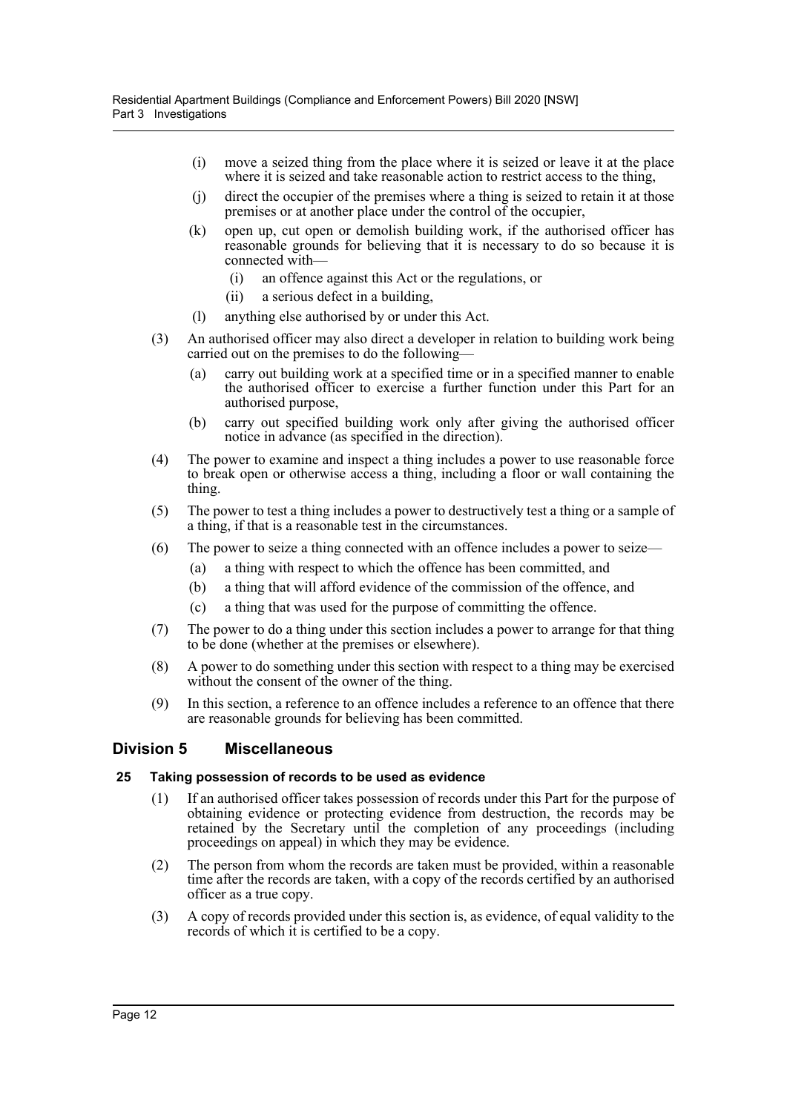- (i) move a seized thing from the place where it is seized or leave it at the place where it is seized and take reasonable action to restrict access to the thing,
- (j) direct the occupier of the premises where a thing is seized to retain it at those premises or at another place under the control of the occupier,
- (k) open up, cut open or demolish building work, if the authorised officer has reasonable grounds for believing that it is necessary to do so because it is connected with—
	- (i) an offence against this Act or the regulations, or
	- (ii) a serious defect in a building,
- (l) anything else authorised by or under this Act.
- (3) An authorised officer may also direct a developer in relation to building work being carried out on the premises to do the following-
	- (a) carry out building work at a specified time or in a specified manner to enable the authorised officer to exercise a further function under this Part for an authorised purpose,
	- (b) carry out specified building work only after giving the authorised officer notice in advance (as specified in the direction).
- (4) The power to examine and inspect a thing includes a power to use reasonable force to break open or otherwise access a thing, including a floor or wall containing the thing.
- (5) The power to test a thing includes a power to destructively test a thing or a sample of a thing, if that is a reasonable test in the circumstances.
- (6) The power to seize a thing connected with an offence includes a power to seize—
	- (a) a thing with respect to which the offence has been committed, and
	- (b) a thing that will afford evidence of the commission of the offence, and
	- (c) a thing that was used for the purpose of committing the offence.
- (7) The power to do a thing under this section includes a power to arrange for that thing to be done (whether at the premises or elsewhere).
- (8) A power to do something under this section with respect to a thing may be exercised without the consent of the owner of the thing.
- (9) In this section, a reference to an offence includes a reference to an offence that there are reasonable grounds for believing has been committed.

## <span id="page-14-0"></span>**Division 5 Miscellaneous**

## <span id="page-14-1"></span>**25 Taking possession of records to be used as evidence**

- (1) If an authorised officer takes possession of records under this Part for the purpose of obtaining evidence or protecting evidence from destruction, the records may be retained by the Secretary until the completion of any proceedings (including proceedings on appeal) in which they may be evidence.
- (2) The person from whom the records are taken must be provided, within a reasonable time after the records are taken, with a copy of the records certified by an authorised officer as a true copy.
- (3) A copy of records provided under this section is, as evidence, of equal validity to the records of which it is certified to be a copy.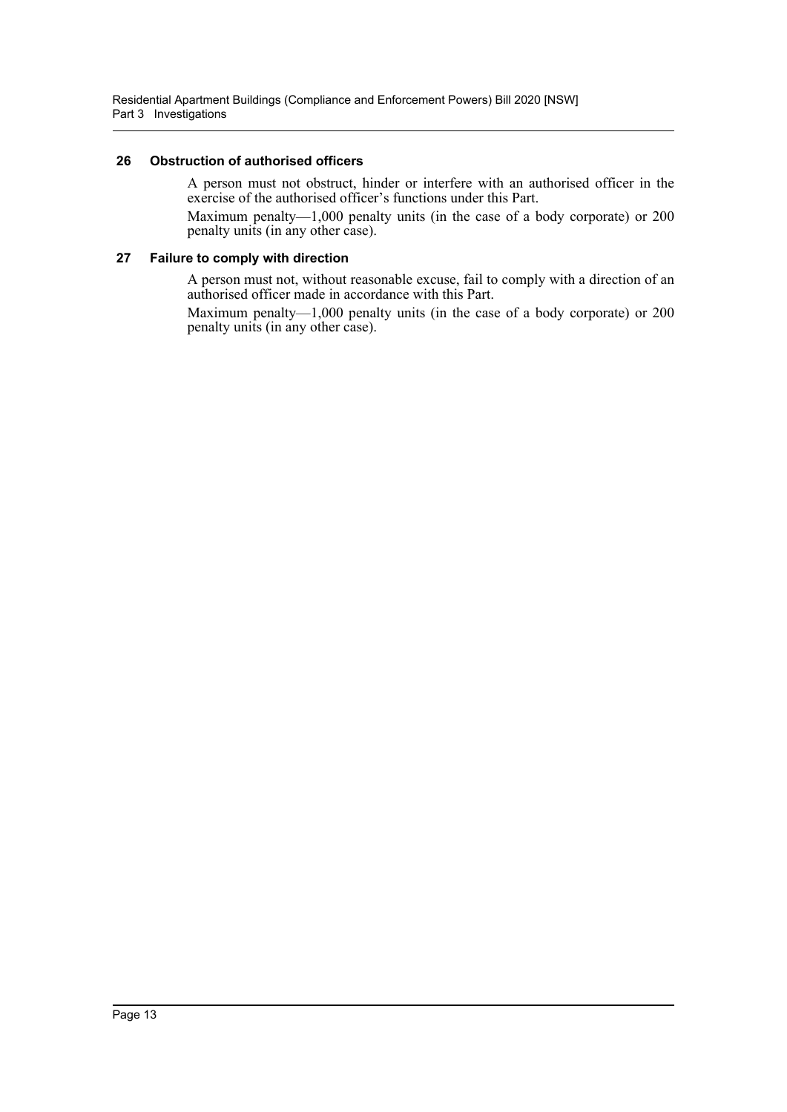## <span id="page-15-0"></span>**26 Obstruction of authorised officers**

A person must not obstruct, hinder or interfere with an authorised officer in the exercise of the authorised officer's functions under this Part.

Maximum penalty—1,000 penalty units (in the case of a body corporate) or 200 penalty units (in any other case).

## <span id="page-15-1"></span>**27 Failure to comply with direction**

A person must not, without reasonable excuse, fail to comply with a direction of an authorised officer made in accordance with this Part.

Maximum penalty—1,000 penalty units (in the case of a body corporate) or 200 penalty units (in any other case).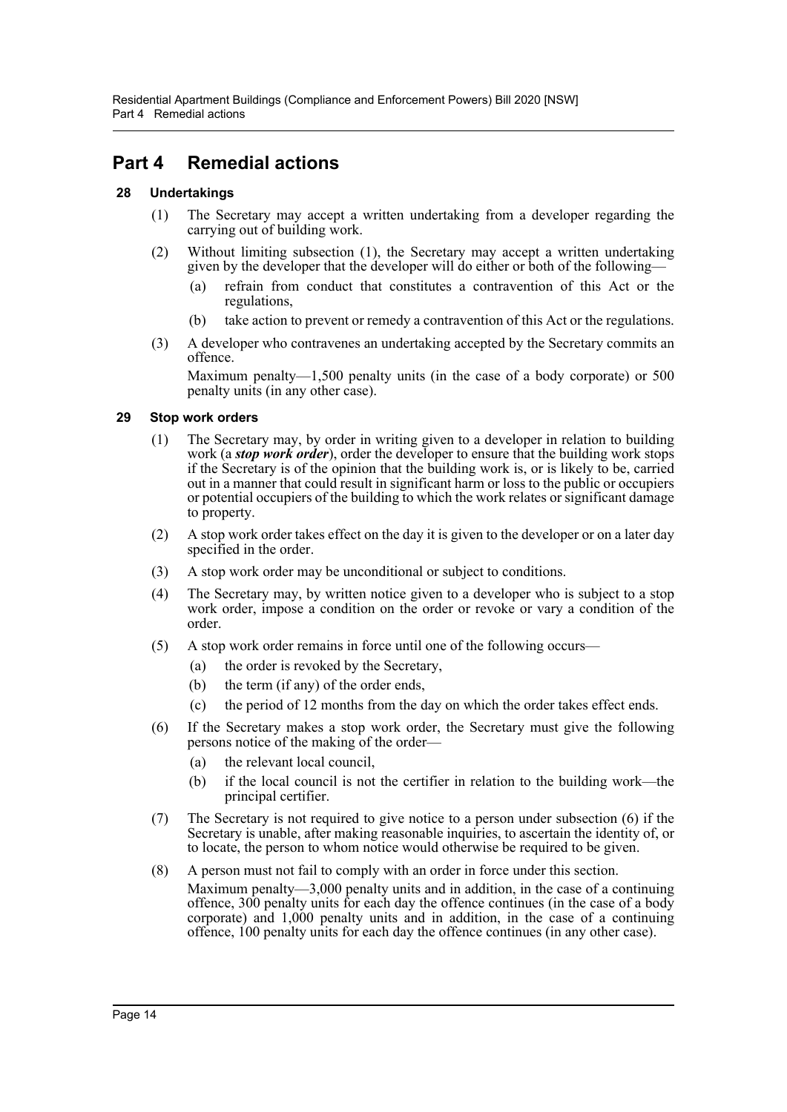# <span id="page-16-0"></span>**Part 4 Remedial actions**

## <span id="page-16-1"></span>**28 Undertakings**

- (1) The Secretary may accept a written undertaking from a developer regarding the carrying out of building work.
- (2) Without limiting subsection (1), the Secretary may accept a written undertaking given by the developer that the developer will do either or both of the following—
	- (a) refrain from conduct that constitutes a contravention of this Act or the regulations,
	- (b) take action to prevent or remedy a contravention of this Act or the regulations.
- (3) A developer who contravenes an undertaking accepted by the Secretary commits an offence.

Maximum penalty—1,500 penalty units (in the case of a body corporate) or 500 penalty units (in any other case).

## <span id="page-16-2"></span>**29 Stop work orders**

- (1) The Secretary may, by order in writing given to a developer in relation to building work (a *stop work order*), order the developer to ensure that the building work stops if the Secretary is of the opinion that the building work is, or is likely to be, carried out in a manner that could result in significant harm or loss to the public or occupiers or potential occupiers of the building to which the work relates or significant damage to property.
- (2) A stop work order takes effect on the day it is given to the developer or on a later day specified in the order.
- (3) A stop work order may be unconditional or subject to conditions.
- (4) The Secretary may, by written notice given to a developer who is subject to a stop work order, impose a condition on the order or revoke or vary a condition of the order.
- (5) A stop work order remains in force until one of the following occurs—
	- (a) the order is revoked by the Secretary,
	- (b) the term (if any) of the order ends,
	- (c) the period of 12 months from the day on which the order takes effect ends.
- (6) If the Secretary makes a stop work order, the Secretary must give the following persons notice of the making of the order—
	- (a) the relevant local council,
	- (b) if the local council is not the certifier in relation to the building work—the principal certifier.
- (7) The Secretary is not required to give notice to a person under subsection (6) if the Secretary is unable, after making reasonable inquiries, to ascertain the identity of, or to locate, the person to whom notice would otherwise be required to be given.
- (8) A person must not fail to comply with an order in force under this section. Maximum penalty—3,000 penalty units and in addition, in the case of a continuing offence, 300 penalty units for each day the offence continues (in the case of a body corporate) and 1,000 penalty units and in addition, in the case of a continuing offence, 100 penalty units for each day the offence continues (in any other case).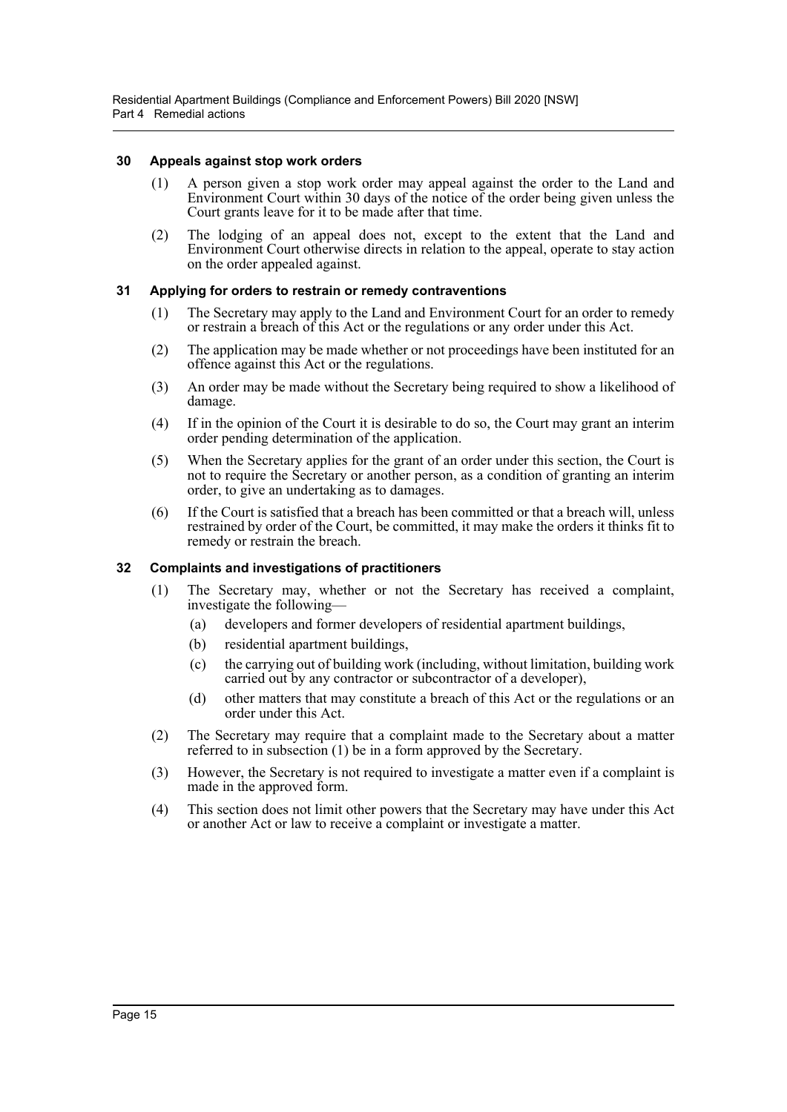Residential Apartment Buildings (Compliance and Enforcement Powers) Bill 2020 [NSW] Part 4 Remedial actions

#### <span id="page-17-0"></span>**30 Appeals against stop work orders**

- (1) A person given a stop work order may appeal against the order to the Land and Environment Court within 30 days of the notice of the order being given unless the Court grants leave for it to be made after that time.
- (2) The lodging of an appeal does not, except to the extent that the Land and Environment Court otherwise directs in relation to the appeal, operate to stay action on the order appealed against.

#### <span id="page-17-1"></span>**31 Applying for orders to restrain or remedy contraventions**

- (1) The Secretary may apply to the Land and Environment Court for an order to remedy or restrain a breach of this Act or the regulations or any order under this Act.
- (2) The application may be made whether or not proceedings have been instituted for an offence against this Act or the regulations.
- (3) An order may be made without the Secretary being required to show a likelihood of damage.
- (4) If in the opinion of the Court it is desirable to do so, the Court may grant an interim order pending determination of the application.
- (5) When the Secretary applies for the grant of an order under this section, the Court is not to require the Secretary or another person, as a condition of granting an interim order, to give an undertaking as to damages.
- (6) If the Court is satisfied that a breach has been committed or that a breach will, unless restrained by order of the Court, be committed, it may make the orders it thinks fit to remedy or restrain the breach.

#### <span id="page-17-2"></span>**32 Complaints and investigations of practitioners**

- (1) The Secretary may, whether or not the Secretary has received a complaint, investigate the following—
	- (a) developers and former developers of residential apartment buildings,
	- (b) residential apartment buildings,
	- (c) the carrying out of building work (including, without limitation, building work carried out by any contractor or subcontractor of a developer),
	- (d) other matters that may constitute a breach of this Act or the regulations or an order under this Act.
- (2) The Secretary may require that a complaint made to the Secretary about a matter referred to in subsection (1) be in a form approved by the Secretary.
- (3) However, the Secretary is not required to investigate a matter even if a complaint is made in the approved form.
- (4) This section does not limit other powers that the Secretary may have under this Act or another Act or law to receive a complaint or investigate a matter.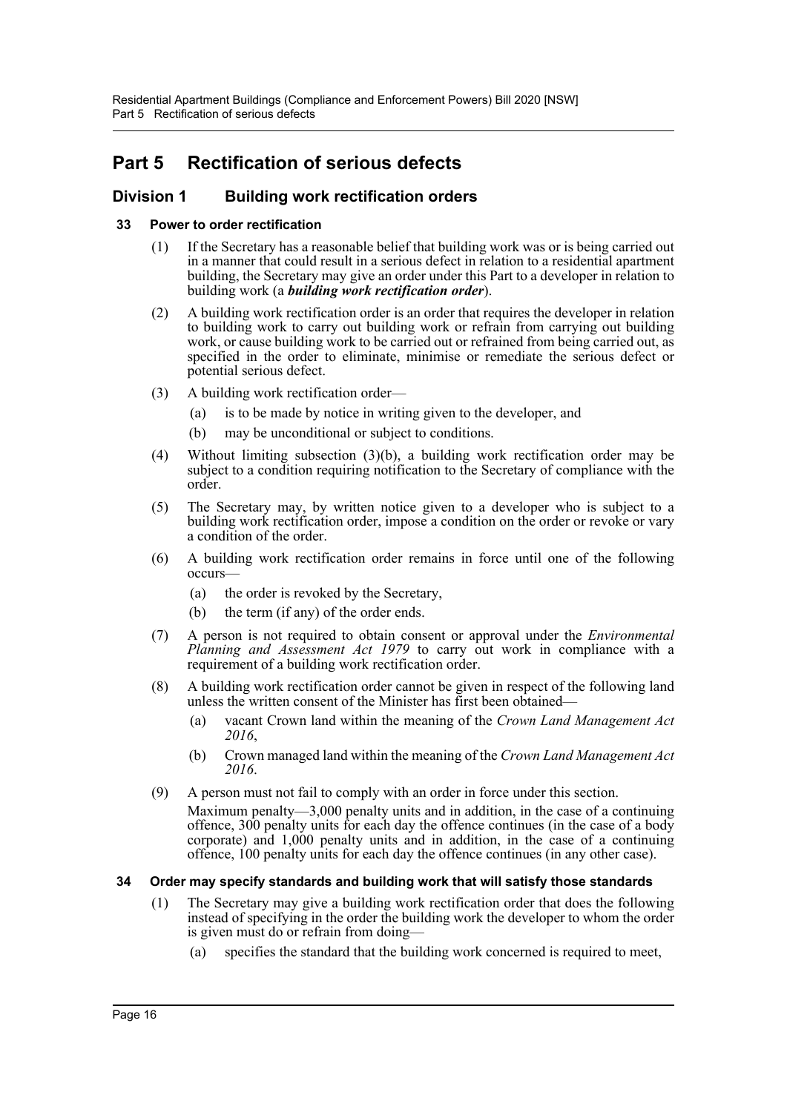# <span id="page-18-0"></span>**Part 5 Rectification of serious defects**

## <span id="page-18-1"></span>**Division 1 Building work rectification orders**

## <span id="page-18-2"></span>**33 Power to order rectification**

- (1) If the Secretary has a reasonable belief that building work was or is being carried out in a manner that could result in a serious defect in relation to a residential apartment building, the Secretary may give an order under this Part to a developer in relation to building work (a *building work rectification order*).
- (2) A building work rectification order is an order that requires the developer in relation to building work to carry out building work or refrain from carrying out building work, or cause building work to be carried out or refrained from being carried out, as specified in the order to eliminate, minimise or remediate the serious defect or potential serious defect.
- (3) A building work rectification order—
	- (a) is to be made by notice in writing given to the developer, and
	- (b) may be unconditional or subject to conditions.
- (4) Without limiting subsection (3)(b), a building work rectification order may be subject to a condition requiring notification to the Secretary of compliance with the order.
- (5) The Secretary may, by written notice given to a developer who is subject to a building work rectification order, impose a condition on the order or revoke or vary a condition of the order.
- (6) A building work rectification order remains in force until one of the following occurs—
	- (a) the order is revoked by the Secretary,
	- (b) the term (if any) of the order ends.
- (7) A person is not required to obtain consent or approval under the *Environmental Planning and Assessment Act 1979* to carry out work in compliance with a requirement of a building work rectification order.
- (8) A building work rectification order cannot be given in respect of the following land unless the written consent of the Minister has first been obtained—
	- (a) vacant Crown land within the meaning of the *Crown Land Management Act 2016*,
	- (b) Crown managed land within the meaning of the *Crown Land Management Act 2016*.
- (9) A person must not fail to comply with an order in force under this section.

Maximum penalty—3,000 penalty units and in addition, in the case of a continuing offence, 300 penalty units for each day the offence continues (in the case of a body corporate) and 1,000 penalty units and in addition, in the case of a continuing offence, 100 penalty units for each day the offence continues (in any other case).

## <span id="page-18-3"></span>**34 Order may specify standards and building work that will satisfy those standards**

- (1) The Secretary may give a building work rectification order that does the following instead of specifying in the order the building work the developer to whom the order is given must do or refrain from doing—
	- (a) specifies the standard that the building work concerned is required to meet,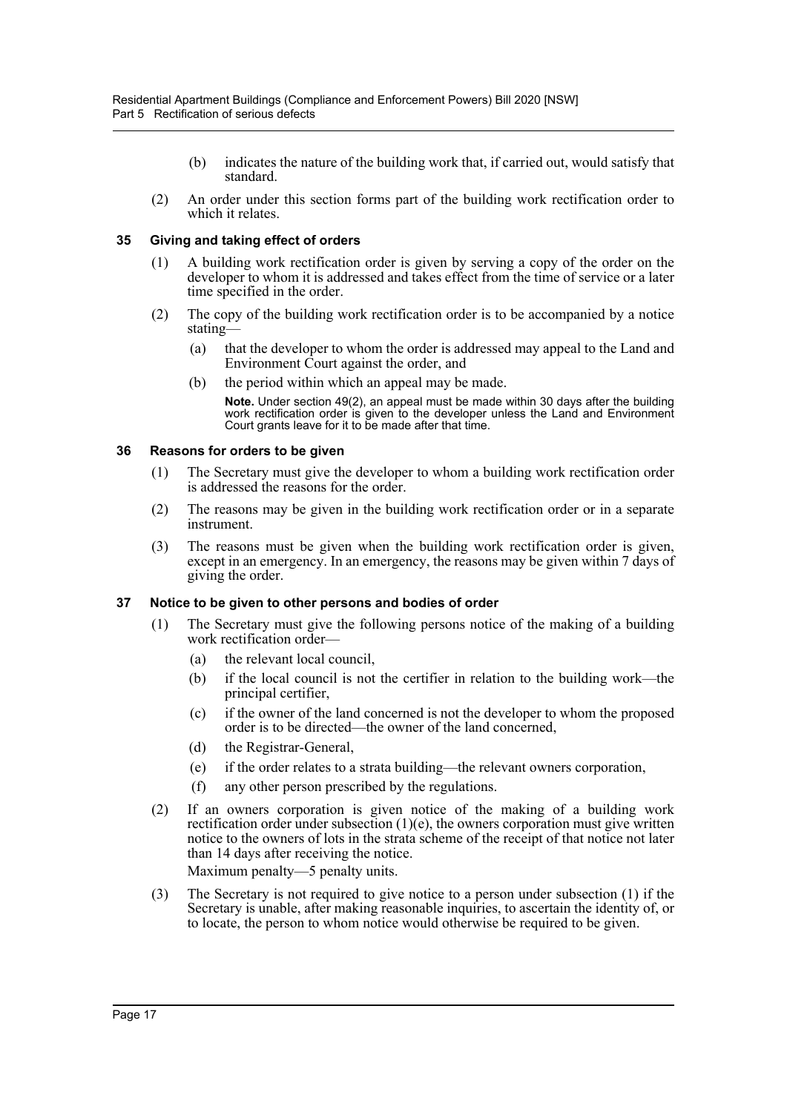- (b) indicates the nature of the building work that, if carried out, would satisfy that standard.
- (2) An order under this section forms part of the building work rectification order to which it relates.

## <span id="page-19-0"></span>**35 Giving and taking effect of orders**

- (1) A building work rectification order is given by serving a copy of the order on the developer to whom it is addressed and takes effect from the time of service or a later time specified in the order.
- (2) The copy of the building work rectification order is to be accompanied by a notice stating—
	- (a) that the developer to whom the order is addressed may appeal to the Land and Environment Court against the order, and
	- (b) the period within which an appeal may be made.

**Note.** Under section [49\(](#page-22-4)2), an appeal must be made within 30 days after the building work rectification order is given to the developer unless the Land and Environment Court grants leave for it to be made after that time.

## <span id="page-19-1"></span>**36 Reasons for orders to be given**

- (1) The Secretary must give the developer to whom a building work rectification order is addressed the reasons for the order.
- (2) The reasons may be given in the building work rectification order or in a separate instrument.
- (3) The reasons must be given when the building work rectification order is given, except in an emergency. In an emergency, the reasons may be given within 7 days of giving the order.

## <span id="page-19-2"></span>**37 Notice to be given to other persons and bodies of order**

- (1) The Secretary must give the following persons notice of the making of a building work rectification order—
	- (a) the relevant local council,
	- (b) if the local council is not the certifier in relation to the building work—the principal certifier,
	- (c) if the owner of the land concerned is not the developer to whom the proposed order is to be directed—the owner of the land concerned,
	- (d) the Registrar-General,
	- (e) if the order relates to a strata building—the relevant owners corporation,
	- (f) any other person prescribed by the regulations.
- (2) If an owners corporation is given notice of the making of a building work rectification order under subsection  $(1)(e)$ , the owners corporation must give written notice to the owners of lots in the strata scheme of the receipt of that notice not later than 14 days after receiving the notice.

Maximum penalty—5 penalty units.

(3) The Secretary is not required to give notice to a person under subsection (1) if the Secretary is unable, after making reasonable inquiries, to ascertain the identity of, or to locate, the person to whom notice would otherwise be required to be given.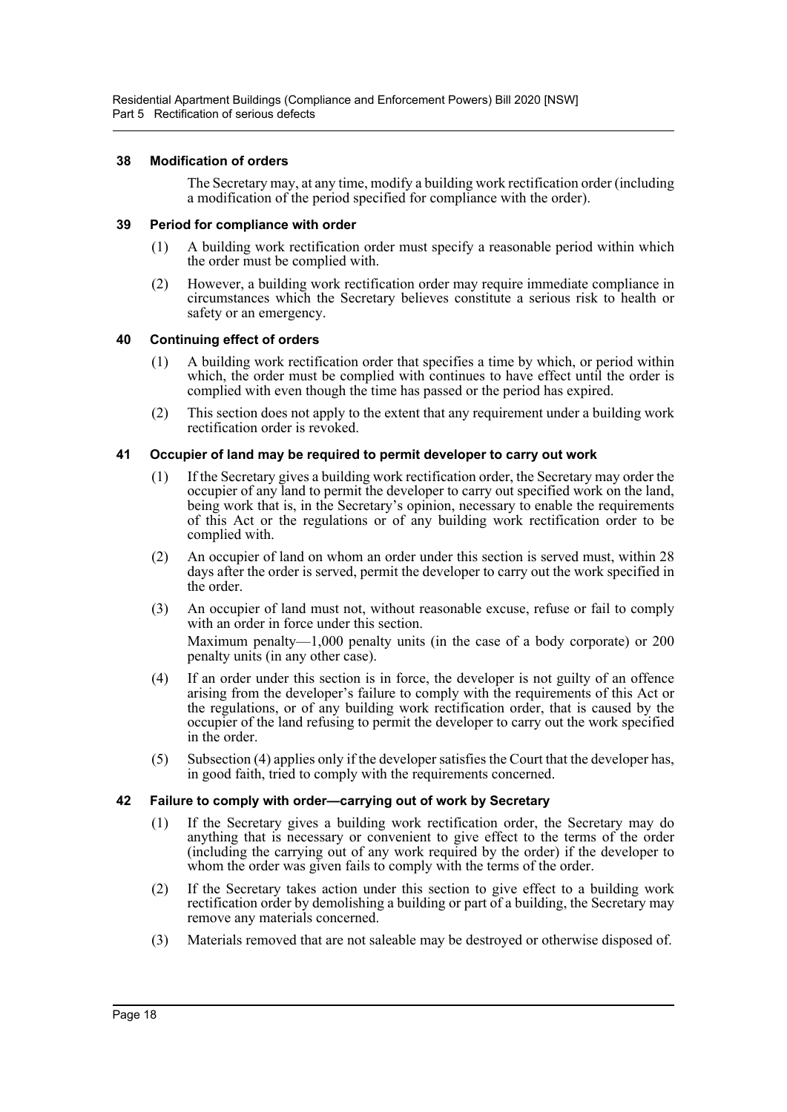Residential Apartment Buildings (Compliance and Enforcement Powers) Bill 2020 [NSW] Part 5 Rectification of serious defects

#### <span id="page-20-0"></span>**38 Modification of orders**

The Secretary may, at any time, modify a building work rectification order (including a modification of the period specified for compliance with the order).

#### <span id="page-20-1"></span>**39 Period for compliance with order**

- (1) A building work rectification order must specify a reasonable period within which the order must be complied with.
- (2) However, a building work rectification order may require immediate compliance in circumstances which the Secretary believes constitute a serious risk to health or safety or an emergency.

#### <span id="page-20-2"></span>**40 Continuing effect of orders**

- (1) A building work rectification order that specifies a time by which, or period within which, the order must be complied with continues to have effect until the order is complied with even though the time has passed or the period has expired.
- (2) This section does not apply to the extent that any requirement under a building work rectification order is revoked.

#### <span id="page-20-3"></span>**41 Occupier of land may be required to permit developer to carry out work**

- (1) If the Secretary gives a building work rectification order, the Secretary may order the occupier of any land to permit the developer to carry out specified work on the land, being work that is, in the Secretary's opinion, necessary to enable the requirements of this Act or the regulations or of any building work rectification order to be complied with.
- (2) An occupier of land on whom an order under this section is served must, within 28 days after the order is served, permit the developer to carry out the work specified in the order.
- (3) An occupier of land must not, without reasonable excuse, refuse or fail to comply with an order in force under this section.

Maximum penalty—1,000 penalty units (in the case of a body corporate) or 200 penalty units (in any other case).

- (4) If an order under this section is in force, the developer is not guilty of an offence arising from the developer's failure to comply with the requirements of this Act or the regulations, or of any building work rectification order, that is caused by the occupier of the land refusing to permit the developer to carry out the work specified in the order.
- (5) Subsection (4) applies only if the developer satisfies the Court that the developer has, in good faith, tried to comply with the requirements concerned.

## <span id="page-20-4"></span>**42 Failure to comply with order—carrying out of work by Secretary**

- (1) If the Secretary gives a building work rectification order, the Secretary may do anything that is necessary or convenient to give effect to the terms of the order (including the carrying out of any work required by the order) if the developer to whom the order was given fails to comply with the terms of the order.
- (2) If the Secretary takes action under this section to give effect to a building work rectification order by demolishing a building or part of a building, the Secretary may remove any materials concerned.
- (3) Materials removed that are not saleable may be destroyed or otherwise disposed of.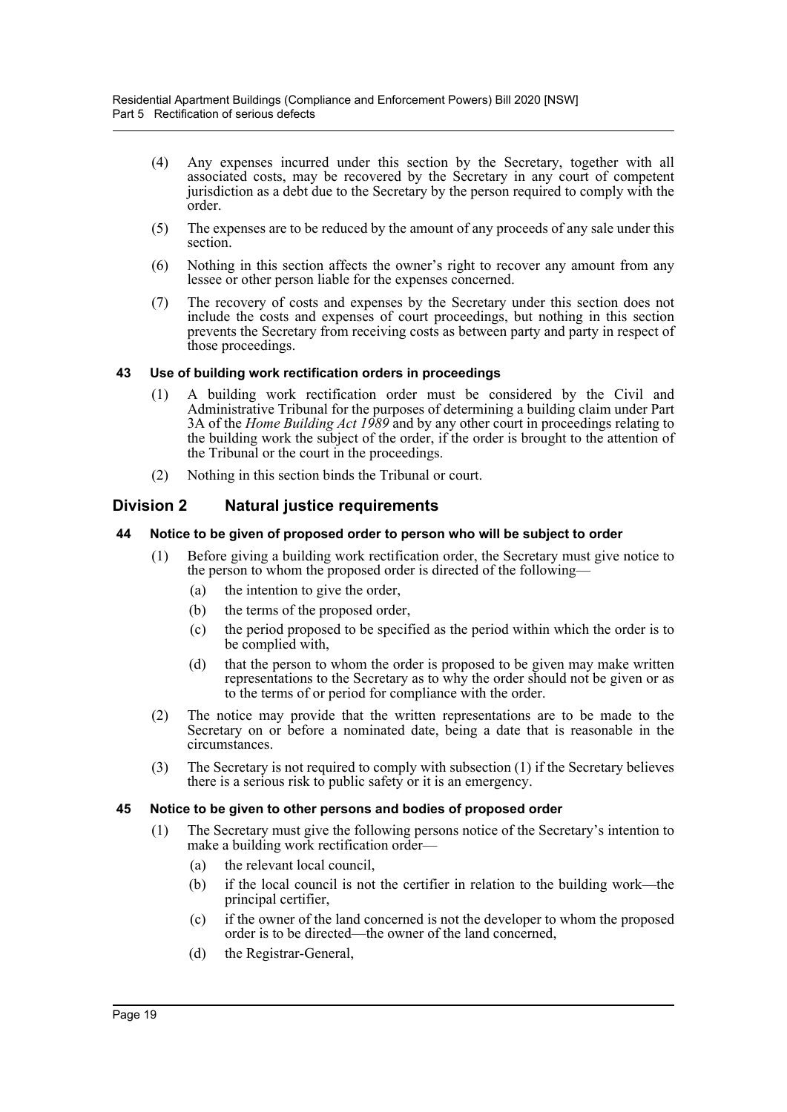- (4) Any expenses incurred under this section by the Secretary, together with all associated costs, may be recovered by the Secretary in any court of competent jurisdiction as a debt due to the Secretary by the person required to comply with the order.
- (5) The expenses are to be reduced by the amount of any proceeds of any sale under this section.
- (6) Nothing in this section affects the owner's right to recover any amount from any lessee or other person liable for the expenses concerned.
- (7) The recovery of costs and expenses by the Secretary under this section does not include the costs and expenses of court proceedings, but nothing in this section prevents the Secretary from receiving costs as between party and party in respect of those proceedings.

## <span id="page-21-0"></span>**43 Use of building work rectification orders in proceedings**

- (1) A building work rectification order must be considered by the Civil and Administrative Tribunal for the purposes of determining a building claim under Part 3A of the *Home Building Act 1989* and by any other court in proceedings relating to the building work the subject of the order, if the order is brought to the attention of the Tribunal or the court in the proceedings.
- (2) Nothing in this section binds the Tribunal or court.

## <span id="page-21-1"></span>**Division 2 Natural justice requirements**

## <span id="page-21-2"></span>**44 Notice to be given of proposed order to person who will be subject to order**

- (1) Before giving a building work rectification order, the Secretary must give notice to the person to whom the proposed order is directed of the following—
	- (a) the intention to give the order,
	- (b) the terms of the proposed order,
	- (c) the period proposed to be specified as the period within which the order is to be complied with,
	- (d) that the person to whom the order is proposed to be given may make written representations to the Secretary as to why the order should not be given or as to the terms of or period for compliance with the order.
- (2) The notice may provide that the written representations are to be made to the Secretary on or before a nominated date, being a date that is reasonable in the circumstances.
- (3) The Secretary is not required to comply with subsection (1) if the Secretary believes there is a serious risk to public safety or it is an emergency.

## <span id="page-21-3"></span>**45 Notice to be given to other persons and bodies of proposed order**

- (1) The Secretary must give the following persons notice of the Secretary's intention to make a building work rectification order—
	- (a) the relevant local council,
	- (b) if the local council is not the certifier in relation to the building work—the principal certifier,
	- (c) if the owner of the land concerned is not the developer to whom the proposed order is to be directed—the owner of the land concerned,
	- (d) the Registrar-General,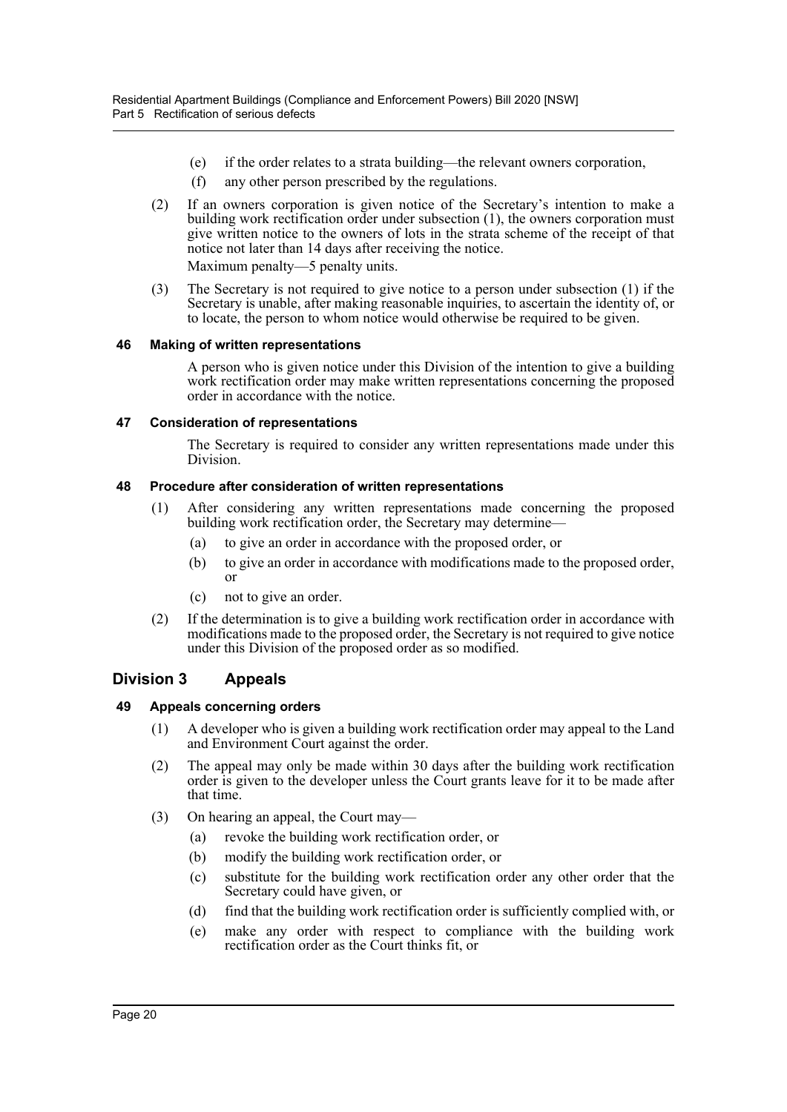- (e) if the order relates to a strata building—the relevant owners corporation,
- (f) any other person prescribed by the regulations.
- (2) If an owners corporation is given notice of the Secretary's intention to make a building work rectification order under subsection (1), the owners corporation must give written notice to the owners of lots in the strata scheme of the receipt of that notice not later than 14 days after receiving the notice.

Maximum penalty—5 penalty units.

(3) The Secretary is not required to give notice to a person under subsection (1) if the Secretary is unable, after making reasonable inquiries, to ascertain the identity of, or to locate, the person to whom notice would otherwise be required to be given.

## <span id="page-22-0"></span>**46 Making of written representations**

A person who is given notice under this Division of the intention to give a building work rectification order may make written representations concerning the proposed order in accordance with the notice.

## <span id="page-22-1"></span>**47 Consideration of representations**

The Secretary is required to consider any written representations made under this Division.

## <span id="page-22-2"></span>**48 Procedure after consideration of written representations**

- (1) After considering any written representations made concerning the proposed building work rectification order, the Secretary may determine—
	- (a) to give an order in accordance with the proposed order, or
	- (b) to give an order in accordance with modifications made to the proposed order, or
	- (c) not to give an order.
- (2) If the determination is to give a building work rectification order in accordance with modifications made to the proposed order, the Secretary is not required to give notice under this Division of the proposed order as so modified.

## <span id="page-22-3"></span>**Division 3 Appeals**

## <span id="page-22-4"></span>**49 Appeals concerning orders**

- (1) A developer who is given a building work rectification order may appeal to the Land and Environment Court against the order.
- (2) The appeal may only be made within 30 days after the building work rectification order is given to the developer unless the Court grants leave for it to be made after that time.
- (3) On hearing an appeal, the Court may—
	- (a) revoke the building work rectification order, or
	- (b) modify the building work rectification order, or
	- (c) substitute for the building work rectification order any other order that the Secretary could have given, or
	- (d) find that the building work rectification order is sufficiently complied with, or
	- (e) make any order with respect to compliance with the building work rectification order as the Court thinks fit, or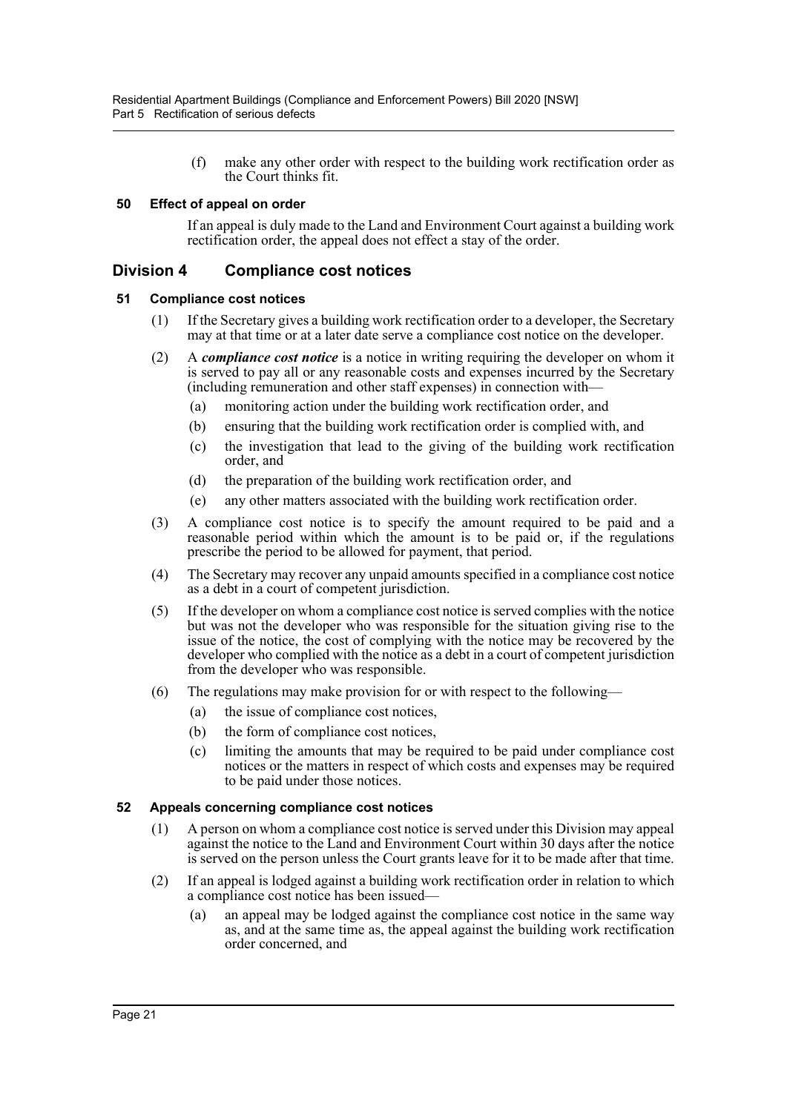(f) make any other order with respect to the building work rectification order as the Court thinks fit.

## <span id="page-23-0"></span>**50 Effect of appeal on order**

If an appeal is duly made to the Land and Environment Court against a building work rectification order, the appeal does not effect a stay of the order.

## <span id="page-23-1"></span>**Division 4 Compliance cost notices**

## <span id="page-23-2"></span>**51 Compliance cost notices**

- (1) If the Secretary gives a building work rectification order to a developer, the Secretary may at that time or at a later date serve a compliance cost notice on the developer.
- (2) A *compliance cost notice* is a notice in writing requiring the developer on whom it is served to pay all or any reasonable costs and expenses incurred by the Secretary (including remuneration and other staff expenses) in connection with—
	- (a) monitoring action under the building work rectification order, and
	- (b) ensuring that the building work rectification order is complied with, and
	- (c) the investigation that lead to the giving of the building work rectification order, and
	- (d) the preparation of the building work rectification order, and
	- (e) any other matters associated with the building work rectification order.
- (3) A compliance cost notice is to specify the amount required to be paid and a reasonable period within which the amount is to be paid or, if the regulations prescribe the period to be allowed for payment, that period.
- (4) The Secretary may recover any unpaid amounts specified in a compliance cost notice as a debt in a court of competent jurisdiction.
- (5) If the developer on whom a compliance cost notice is served complies with the notice but was not the developer who was responsible for the situation giving rise to the issue of the notice, the cost of complying with the notice may be recovered by the developer who complied with the notice as a debt in a court of competent jurisdiction from the developer who was responsible.
- (6) The regulations may make provision for or with respect to the following—
	- (a) the issue of compliance cost notices,
	- (b) the form of compliance cost notices,
	- (c) limiting the amounts that may be required to be paid under compliance cost notices or the matters in respect of which costs and expenses may be required to be paid under those notices.

## <span id="page-23-3"></span>**52 Appeals concerning compliance cost notices**

- (1) A person on whom a compliance cost notice is served under this Division may appeal against the notice to the Land and Environment Court within 30 days after the notice is served on the person unless the Court grants leave for it to be made after that time.
- (2) If an appeal is lodged against a building work rectification order in relation to which a compliance cost notice has been issued—
	- (a) an appeal may be lodged against the compliance cost notice in the same way as, and at the same time as, the appeal against the building work rectification order concerned, and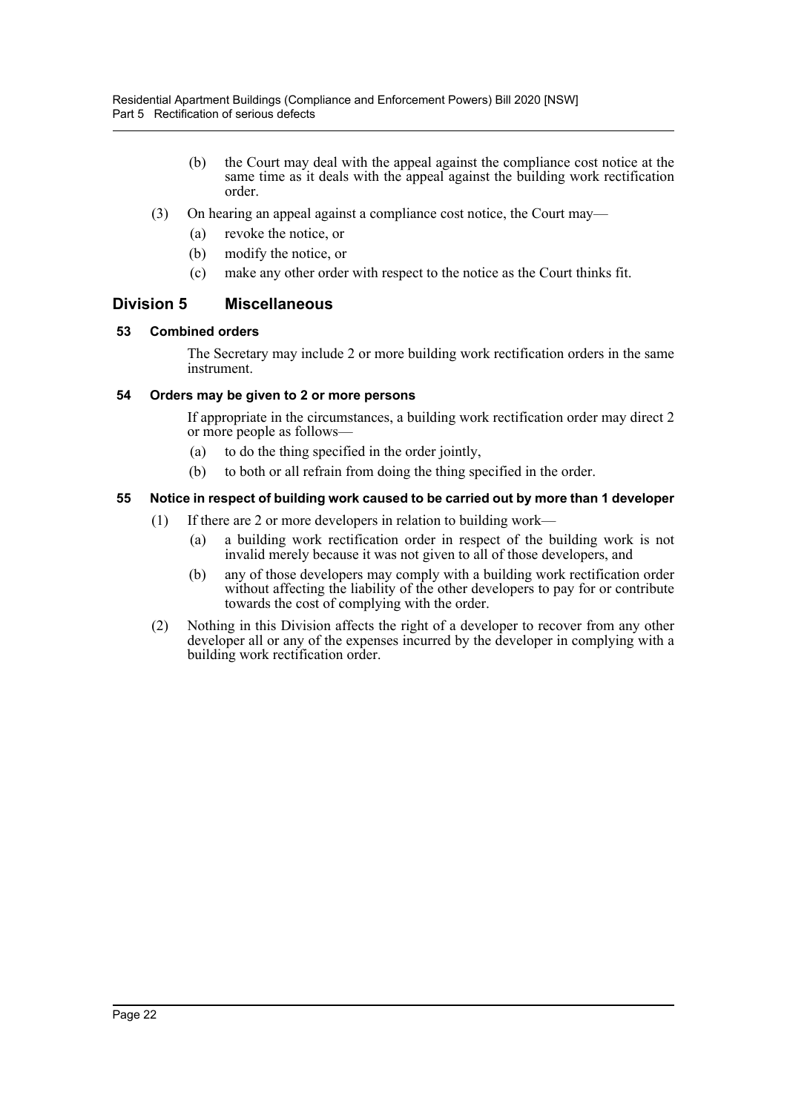- (b) the Court may deal with the appeal against the compliance cost notice at the same time as it deals with the appeal against the building work rectification order.
- (3) On hearing an appeal against a compliance cost notice, the Court may—
	- (a) revoke the notice, or
	- (b) modify the notice, or
	- (c) make any other order with respect to the notice as the Court thinks fit.

## <span id="page-24-0"></span>**Division 5 Miscellaneous**

## <span id="page-24-1"></span>**53 Combined orders**

The Secretary may include 2 or more building work rectification orders in the same instrument.

## <span id="page-24-2"></span>**54 Orders may be given to 2 or more persons**

If appropriate in the circumstances, a building work rectification order may direct 2 or more people as follows—

- (a) to do the thing specified in the order jointly,
- (b) to both or all refrain from doing the thing specified in the order.

## <span id="page-24-3"></span>**55 Notice in respect of building work caused to be carried out by more than 1 developer**

- (1) If there are 2 or more developers in relation to building work—
	- (a) a building work rectification order in respect of the building work is not invalid merely because it was not given to all of those developers, and
	- (b) any of those developers may comply with a building work rectification order without affecting the liability of the other developers to pay for or contribute towards the cost of complying with the order.
- (2) Nothing in this Division affects the right of a developer to recover from any other developer all or any of the expenses incurred by the developer in complying with a building work rectification order.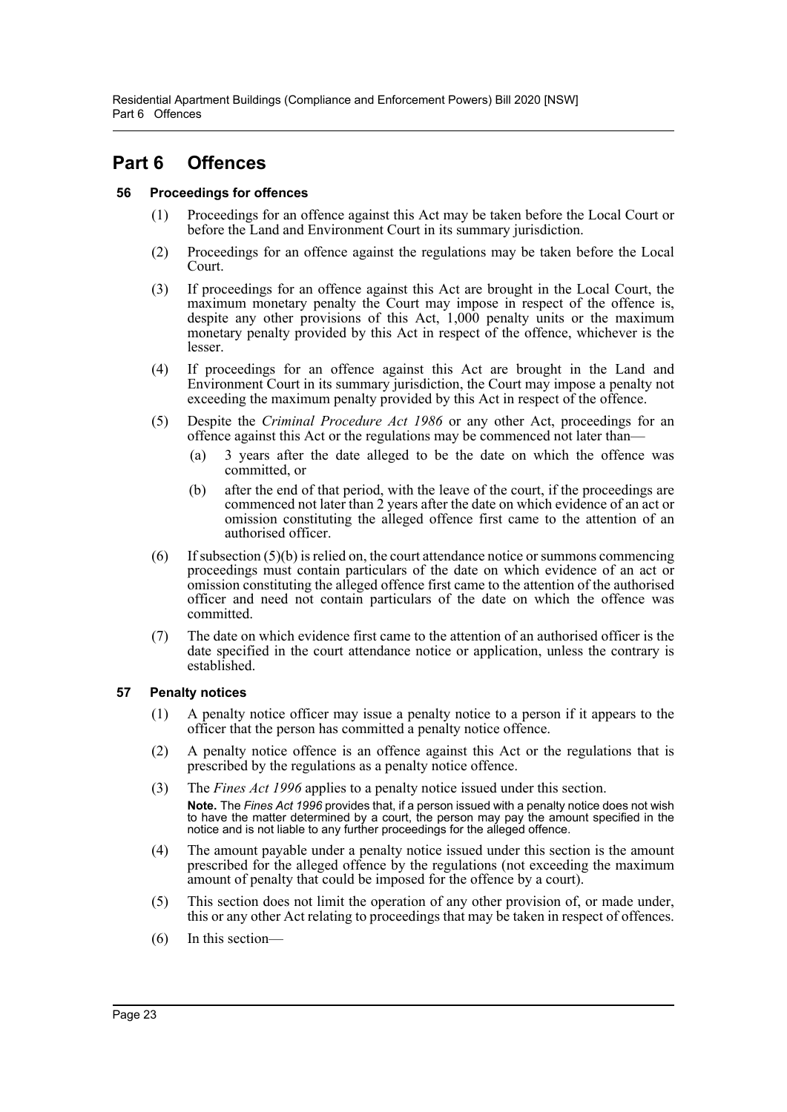## <span id="page-25-0"></span>**Part 6 Offences**

## <span id="page-25-1"></span>**56 Proceedings for offences**

- (1) Proceedings for an offence against this Act may be taken before the Local Court or before the Land and Environment Court in its summary jurisdiction.
- (2) Proceedings for an offence against the regulations may be taken before the Local Court.
- (3) If proceedings for an offence against this Act are brought in the Local Court, the maximum monetary penalty the Court may impose in respect of the offence is, despite any other provisions of this Act, 1,000 penalty units or the maximum monetary penalty provided by this Act in respect of the offence, whichever is the lesser.
- (4) If proceedings for an offence against this Act are brought in the Land and Environment Court in its summary jurisdiction, the Court may impose a penalty not exceeding the maximum penalty provided by this Act in respect of the offence.
- (5) Despite the *Criminal Procedure Act 1986* or any other Act, proceedings for an offence against this Act or the regulations may be commenced not later than—
	- (a) 3 years after the date alleged to be the date on which the offence was committed, or
	- (b) after the end of that period, with the leave of the court, if the proceedings are commenced not later than 2 years after the date on which evidence of an act or omission constituting the alleged offence first came to the attention of an authorised officer.
- $(6)$  If subsection  $(5)(b)$  is relied on, the court attendance notice or summons commencing proceedings must contain particulars of the date on which evidence of an act or omission constituting the alleged offence first came to the attention of the authorised officer and need not contain particulars of the date on which the offence was committed.
- (7) The date on which evidence first came to the attention of an authorised officer is the date specified in the court attendance notice or application, unless the contrary is established.

## <span id="page-25-2"></span>**57 Penalty notices**

- (1) A penalty notice officer may issue a penalty notice to a person if it appears to the officer that the person has committed a penalty notice offence.
- (2) A penalty notice offence is an offence against this Act or the regulations that is prescribed by the regulations as a penalty notice offence.
- (3) The *Fines Act 1996* applies to a penalty notice issued under this section. **Note.** The *Fines Act 1996* provides that, if a person issued with a penalty notice does not wish to have the matter determined by a court, the person may pay the amount specified in the notice and is not liable to any further proceedings for the alleged offence.
- (4) The amount payable under a penalty notice issued under this section is the amount prescribed for the alleged offence by the regulations (not exceeding the maximum amount of penalty that could be imposed for the offence by a court).
- (5) This section does not limit the operation of any other provision of, or made under, this or any other Act relating to proceedings that may be taken in respect of offences.
- (6) In this section—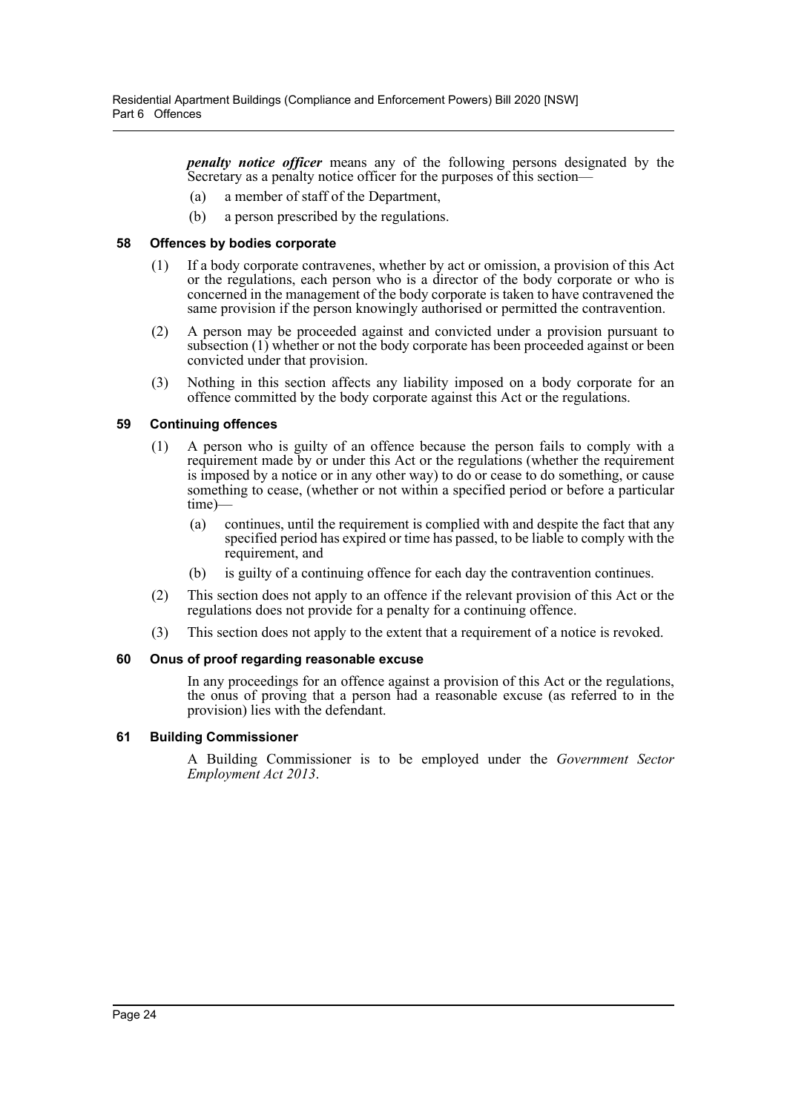*penalty notice officer* means any of the following persons designated by the Secretary as a penalty notice officer for the purposes of this section—

- (a) a member of staff of the Department,
- (b) a person prescribed by the regulations.

## <span id="page-26-0"></span>**58 Offences by bodies corporate**

- (1) If a body corporate contravenes, whether by act or omission, a provision of this Act or the regulations, each person who is a director of the body corporate or who is concerned in the management of the body corporate is taken to have contravened the same provision if the person knowingly authorised or permitted the contravention.
- (2) A person may be proceeded against and convicted under a provision pursuant to subsection (1) whether or not the body corporate has been proceeded against or been convicted under that provision.
- (3) Nothing in this section affects any liability imposed on a body corporate for an offence committed by the body corporate against this Act or the regulations.

## <span id="page-26-1"></span>**59 Continuing offences**

- (1) A person who is guilty of an offence because the person fails to comply with a requirement made by or under this Act or the regulations (whether the requirement is imposed by a notice or in any other way) to do or cease to do something, or cause something to cease, (whether or not within a specified period or before a particular time)—
	- (a) continues, until the requirement is complied with and despite the fact that any specified period has expired or time has passed, to be liable to comply with the requirement, and
	- (b) is guilty of a continuing offence for each day the contravention continues.
- (2) This section does not apply to an offence if the relevant provision of this Act or the regulations does not provide for a penalty for a continuing offence.
- (3) This section does not apply to the extent that a requirement of a notice is revoked.

## <span id="page-26-2"></span>**60 Onus of proof regarding reasonable excuse**

In any proceedings for an offence against a provision of this Act or the regulations, the onus of proving that a person had a reasonable excuse (as referred to in the provision) lies with the defendant.

## <span id="page-26-3"></span>**61 Building Commissioner**

A Building Commissioner is to be employed under the *Government Sector Employment Act 2013*.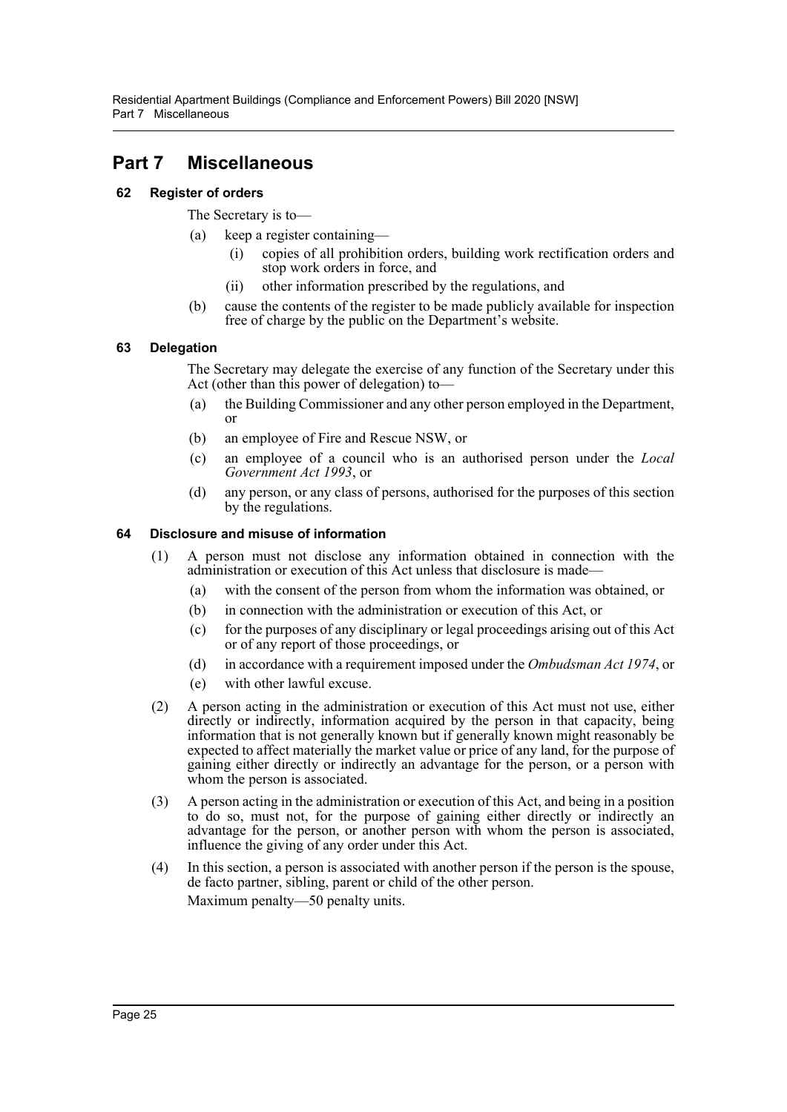# <span id="page-27-0"></span>**Part 7 Miscellaneous**

## <span id="page-27-1"></span>**62 Register of orders**

The Secretary is to—

- (a) keep a register containing—
	- (i) copies of all prohibition orders, building work rectification orders and stop work orders in force, and
	- (ii) other information prescribed by the regulations, and
- (b) cause the contents of the register to be made publicly available for inspection free of charge by the public on the Department's website.

## <span id="page-27-2"></span>**63 Delegation**

The Secretary may delegate the exercise of any function of the Secretary under this Act (other than this power of delegation) to—

- (a) the Building Commissioner and any other person employed in the Department, or
- (b) an employee of Fire and Rescue NSW, or
- (c) an employee of a council who is an authorised person under the *Local Government Act 1993*, or
- (d) any person, or any class of persons, authorised for the purposes of this section by the regulations.

## <span id="page-27-3"></span>**64 Disclosure and misuse of information**

- (1) A person must not disclose any information obtained in connection with the administration or execution of this Act unless that disclosure is made—
	- (a) with the consent of the person from whom the information was obtained, or
	- (b) in connection with the administration or execution of this Act, or
	- (c) for the purposes of any disciplinary or legal proceedings arising out of this Act or of any report of those proceedings, or
	- (d) in accordance with a requirement imposed under the *Ombudsman Act 1974*, or
	- (e) with other lawful excuse.
- (2) A person acting in the administration or execution of this Act must not use, either directly or indirectly, information acquired by the person in that capacity, being information that is not generally known but if generally known might reasonably be expected to affect materially the market value or price of any land, for the purpose of gaining either directly or indirectly an advantage for the person, or a person with whom the person is associated.
- (3) A person acting in the administration or execution of this Act, and being in a position to do so, must not, for the purpose of gaining either directly or indirectly an advantage for the person, or another person with whom the person is associated, influence the giving of any order under this Act.
- (4) In this section, a person is associated with another person if the person is the spouse, de facto partner, sibling, parent or child of the other person. Maximum penalty—50 penalty units.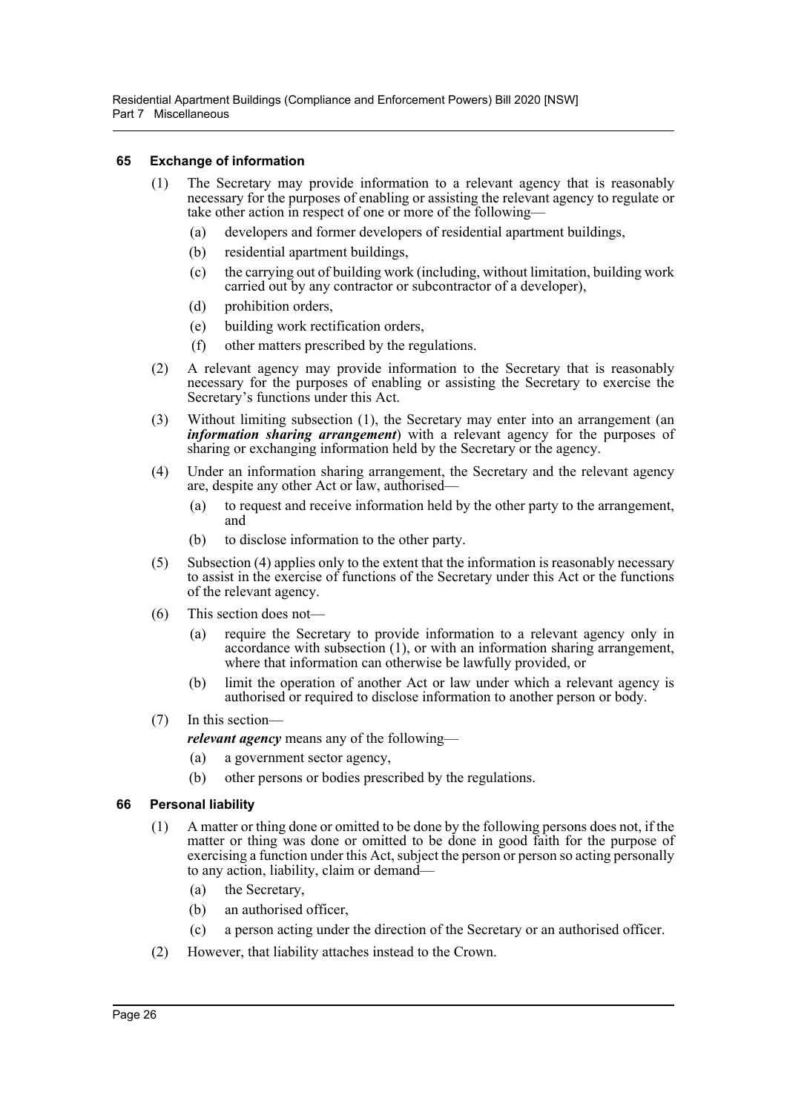Residential Apartment Buildings (Compliance and Enforcement Powers) Bill 2020 [NSW] Part 7 Miscellaneous

#### <span id="page-28-0"></span>**65 Exchange of information**

- (1) The Secretary may provide information to a relevant agency that is reasonably necessary for the purposes of enabling or assisting the relevant agency to regulate or take other action in respect of one or more of the following—
	- (a) developers and former developers of residential apartment buildings,
	- (b) residential apartment buildings,
	- (c) the carrying out of building work (including, without limitation, building work carried out by any contractor or subcontractor of a developer),
	- (d) prohibition orders,
	- (e) building work rectification orders,
	- (f) other matters prescribed by the regulations.
- (2) A relevant agency may provide information to the Secretary that is reasonably necessary for the purposes of enabling or assisting the Secretary to exercise the Secretary's functions under this Act.
- (3) Without limiting subsection (1), the Secretary may enter into an arrangement (an *information sharing arrangement*) with a relevant agency for the purposes of sharing or exchanging information held by the Secretary or the agency.
- (4) Under an information sharing arrangement, the Secretary and the relevant agency are, despite any other Act or law, authorised—
	- (a) to request and receive information held by the other party to the arrangement, and
	- (b) to disclose information to the other party.
- (5) Subsection (4) applies only to the extent that the information is reasonably necessary to assist in the exercise of functions of the Secretary under this Act or the functions of the relevant agency.
- (6) This section does not—
	- (a) require the Secretary to provide information to a relevant agency only in accordance with subsection (1), or with an information sharing arrangement, where that information can otherwise be lawfully provided, or
	- (b) limit the operation of another Act or law under which a relevant agency is authorised or required to disclose information to another person or body.
- (7) In this section
	- *relevant agency* means any of the following—
	- (a) a government sector agency,
	- (b) other persons or bodies prescribed by the regulations.

#### <span id="page-28-1"></span>**66 Personal liability**

- (1) A matter or thing done or omitted to be done by the following persons does not, if the matter or thing was done or omitted to be done in good faith for the purpose of exercising a function under this Act, subject the person or person so acting personally to any action, liability, claim or demand—
	- (a) the Secretary,
	- (b) an authorised officer,
	- (c) a person acting under the direction of the Secretary or an authorised officer.
- (2) However, that liability attaches instead to the Crown.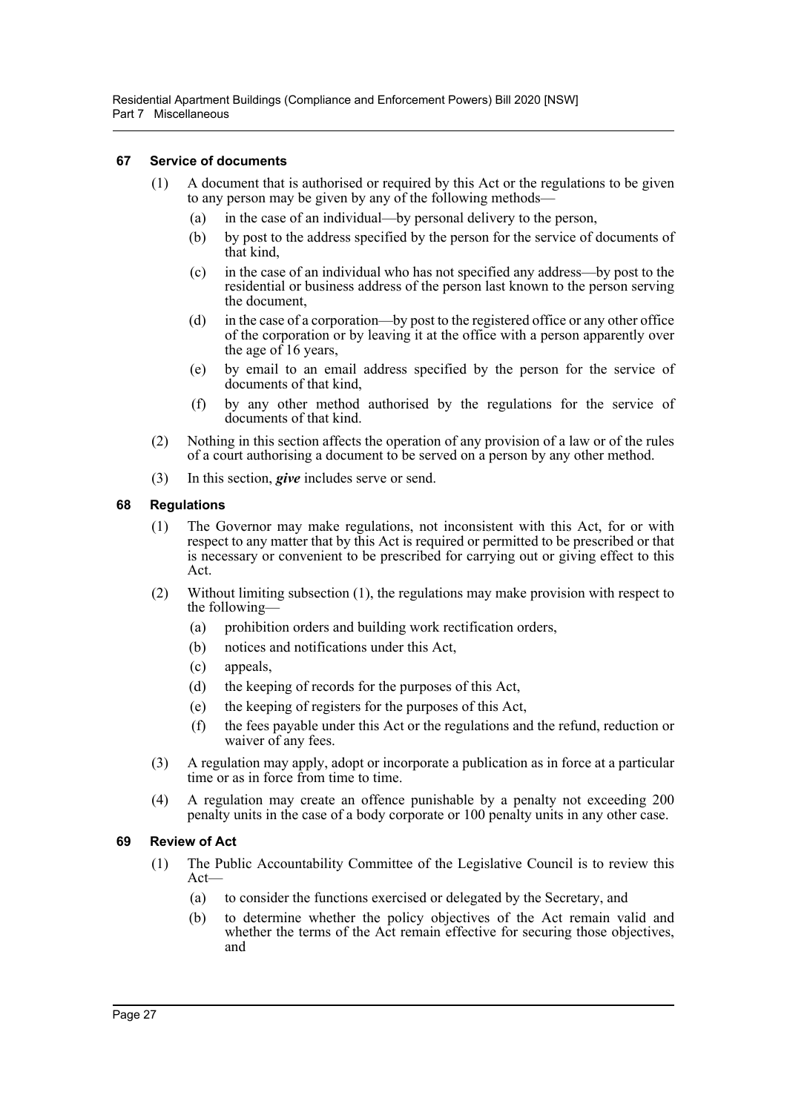Residential Apartment Buildings (Compliance and Enforcement Powers) Bill 2020 [NSW] Part 7 Miscellaneous

#### <span id="page-29-0"></span>**67 Service of documents**

- (1) A document that is authorised or required by this Act or the regulations to be given to any person may be given by any of the following methods—
	- (a) in the case of an individual—by personal delivery to the person,
	- (b) by post to the address specified by the person for the service of documents of that kind,
	- (c) in the case of an individual who has not specified any address—by post to the residential or business address of the person last known to the person serving the document,
	- (d) in the case of a corporation—by post to the registered office or any other office of the corporation or by leaving it at the office with a person apparently over the age of 16 years,
	- (e) by email to an email address specified by the person for the service of documents of that kind,
	- (f) by any other method authorised by the regulations for the service of documents of that kind.
- (2) Nothing in this section affects the operation of any provision of a law or of the rules of a court authorising a document to be served on a person by any other method.
- (3) In this section, *give* includes serve or send.

#### <span id="page-29-1"></span>**68 Regulations**

- (1) The Governor may make regulations, not inconsistent with this Act, for or with respect to any matter that by this Act is required or permitted to be prescribed or that is necessary or convenient to be prescribed for carrying out or giving effect to this Act.
- (2) Without limiting subsection (1), the regulations may make provision with respect to the following—
	- (a) prohibition orders and building work rectification orders,
	- (b) notices and notifications under this Act,
	- (c) appeals,
	- (d) the keeping of records for the purposes of this Act,
	- (e) the keeping of registers for the purposes of this Act,
	- (f) the fees payable under this Act or the regulations and the refund, reduction or waiver of any fees.
- (3) A regulation may apply, adopt or incorporate a publication as in force at a particular time or as in force from time to time.
- (4) A regulation may create an offence punishable by a penalty not exceeding 200 penalty units in the case of a body corporate or 100 penalty units in any other case.

## <span id="page-29-2"></span>**69 Review of Act**

- (1) The Public Accountability Committee of the Legislative Council is to review this Act—
	- (a) to consider the functions exercised or delegated by the Secretary, and
	- (b) to determine whether the policy objectives of the Act remain valid and whether the terms of the Act remain effective for securing those objectives, and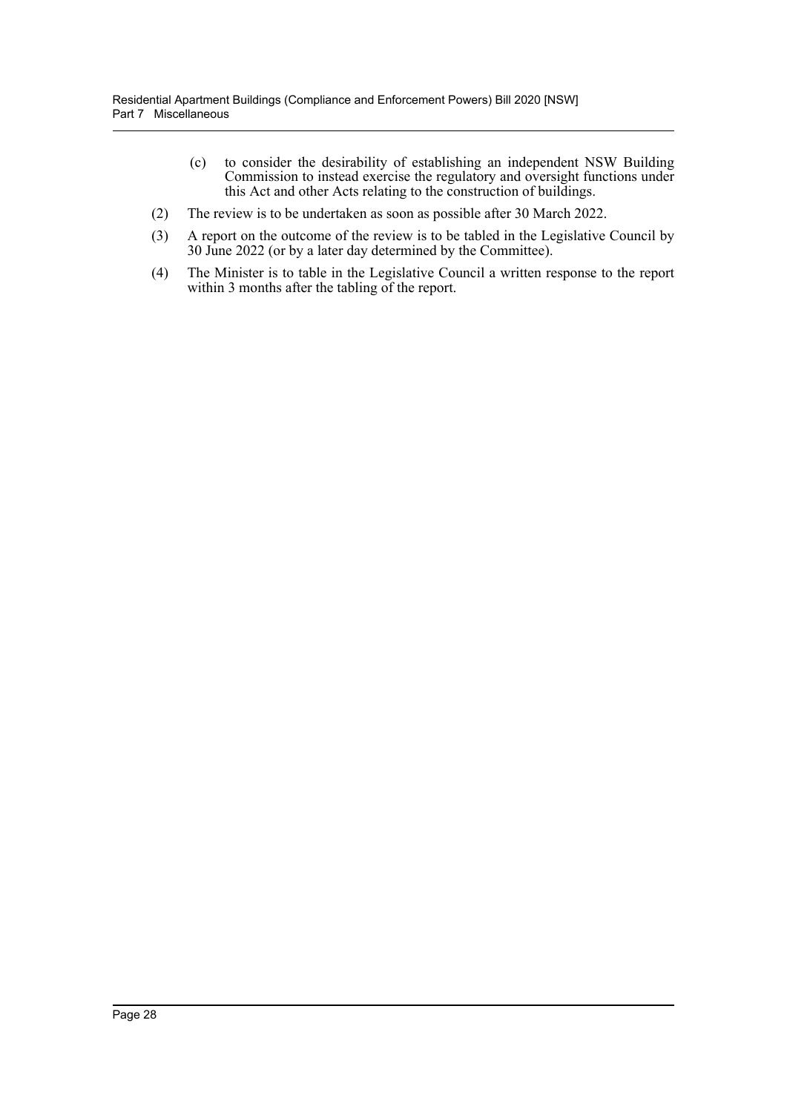- (c) to consider the desirability of establishing an independent NSW Building Commission to instead exercise the regulatory and oversight functions under this Act and other Acts relating to the construction of buildings.
- (2) The review is to be undertaken as soon as possible after 30 March 2022.
- (3) A report on the outcome of the review is to be tabled in the Legislative Council by 30 June 2022 (or by a later day determined by the Committee).
- (4) The Minister is to table in the Legislative Council a written response to the report within 3 months after the tabling of the report.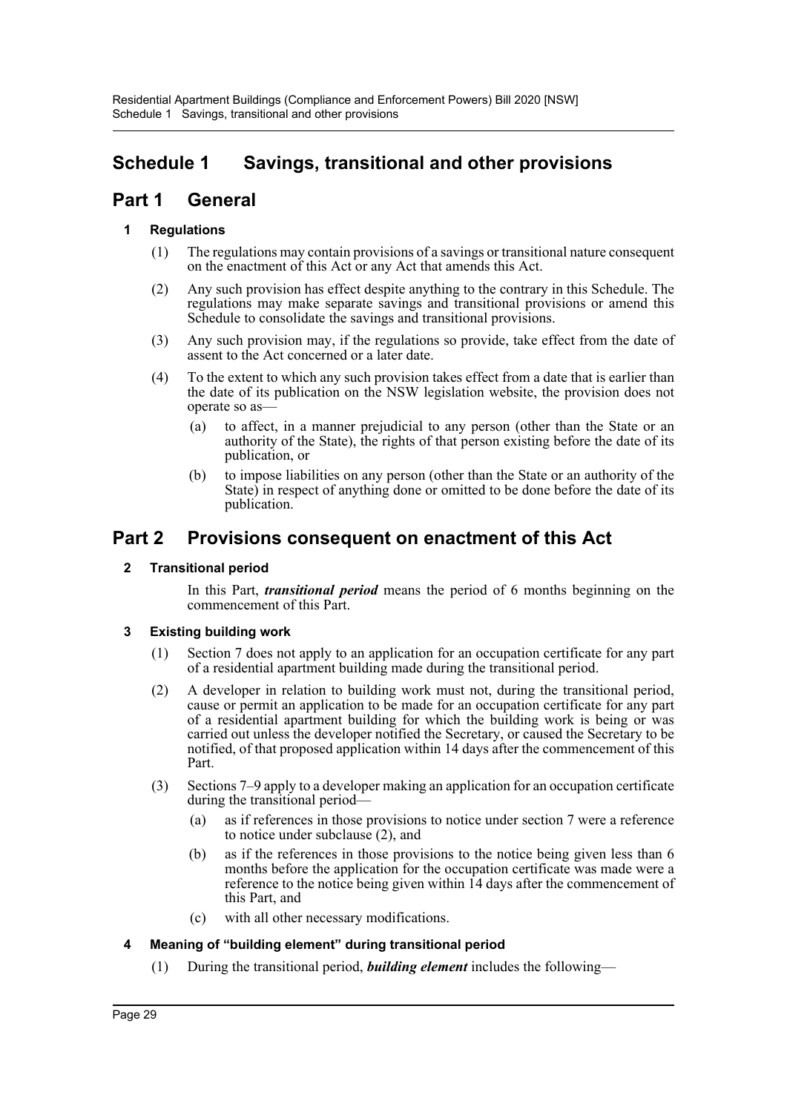# <span id="page-31-0"></span>**Schedule 1 Savings, transitional and other provisions**

## **Part 1 General**

## **1 Regulations**

- (1) The regulations may contain provisions of a savings or transitional nature consequent on the enactment of this Act or any Act that amends this Act.
- (2) Any such provision has effect despite anything to the contrary in this Schedule. The regulations may make separate savings and transitional provisions or amend this Schedule to consolidate the savings and transitional provisions.
- (3) Any such provision may, if the regulations so provide, take effect from the date of assent to the Act concerned or a later date.
- (4) To the extent to which any such provision takes effect from a date that is earlier than the date of its publication on the NSW legislation website, the provision does not operate so as—
	- (a) to affect, in a manner prejudicial to any person (other than the State or an authority of the State), the rights of that person existing before the date of its publication, or
	- (b) to impose liabilities on any person (other than the State or an authority of the State) in respect of anything done or omitted to be done before the date of its publication.

## **Part 2 Provisions consequent on enactment of this Act**

## **2 Transitional period**

In this Part, *transitional period* means the period of 6 months beginning on the commencement of this Part.

## **3 Existing building work**

- (1) Section [7](#page-7-1) does not apply to an application for an occupation certificate for any part of a residential apartment building made during the transitional period.
- (2) A developer in relation to building work must not, during the transitional period, cause or permit an application to be made for an occupation certificate for any part of a residential apartment building for which the building work is being or was carried out unless the developer notified the Secretary, or caused the Secretary to be notified, of that proposed application within 14 days after the commencement of this Part.
- (3) Sections [7–](#page-7-1)[9](#page-8-0) apply to a developer making an application for an occupation certificate during the transitional period—
	- (a) as if references in those provisions to notice under section [7](#page-7-1) were a reference to notice under subclause (2), and
	- (b) as if the references in those provisions to the notice being given less than 6 months before the application for the occupation certificate was made were a reference to the notice being given within 14 days after the commencement of this Part, and
	- (c) with all other necessary modifications.

## **4 Meaning of "building element" during transitional period**

(1) During the transitional period, *building element* includes the following—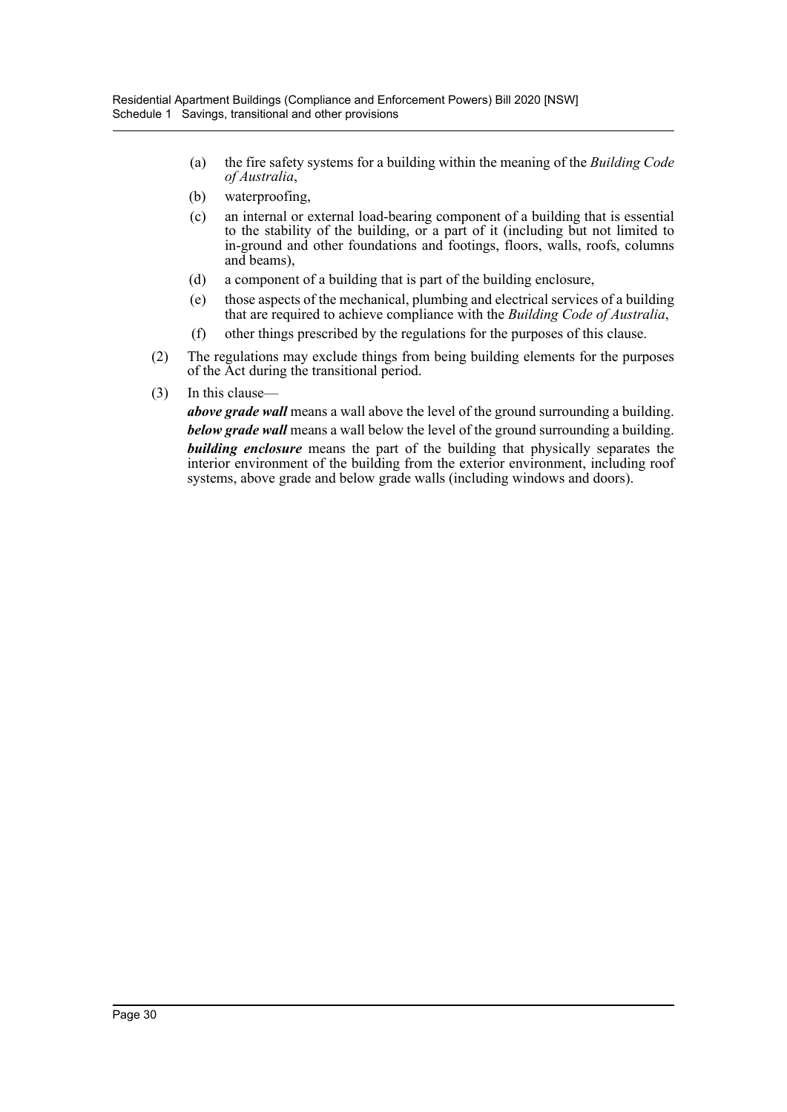- (a) the fire safety systems for a building within the meaning of the *Building Code of Australia*,
- (b) waterproofing,
- (c) an internal or external load-bearing component of a building that is essential to the stability of the building, or a part of it (including but not limited to in-ground and other foundations and footings, floors, walls, roofs, columns and beams),
- (d) a component of a building that is part of the building enclosure,
- (e) those aspects of the mechanical, plumbing and electrical services of a building that are required to achieve compliance with the *Building Code of Australia*,
- (f) other things prescribed by the regulations for the purposes of this clause.
- (2) The regulations may exclude things from being building elements for the purposes of the Act during the transitional period.
- (3) In this clause—

*above grade wall* means a wall above the level of the ground surrounding a building. *below grade wall* means a wall below the level of the ground surrounding a building. *building enclosure* means the part of the building that physically separates the interior environment of the building from the exterior environment, including roof systems, above grade and below grade walls (including windows and doors).